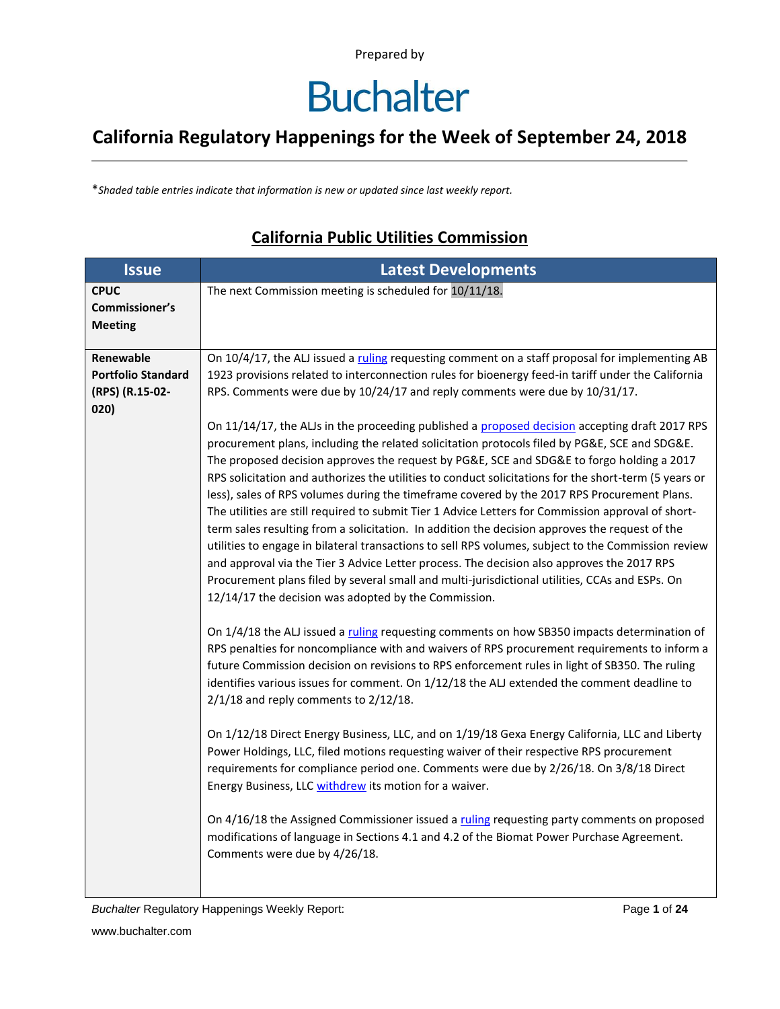### **Buchalter**

#### **California Regulatory Happenings for the Week of September 24, 2018**

\**Shaded table entries indicate that information is new or updated since last weekly report.*

#### **Issue Latest Developments CPUC Commissioner's Meeting** The next Commission meeting is scheduled for 10/11/18. **Renewable Portfolio Standard (RPS) (R.15-02- 020)** On 10/4/17, the ALJ issued a [ruling](http://docs.cpuc.ca.gov/PublishedDocs/Efile/G000/M196/K769/196769638.PDF) requesting comment on a staff proposal for implementing AB 1923 provisions related to interconnection rules for bioenergy feed-in tariff under the California RPS. Comments were due by 10/24/17 and reply comments were due by 10/31/17. On 11/14/17, the ALJs in the proceeding published a [proposed decision](http://docs.cpuc.ca.gov/PublishedDocs/Efile/G000/M198/K874/198874328.PDF) accepting draft 2017 RPS procurement plans, including the related solicitation protocols filed by PG&E, SCE and SDG&E. The proposed decision approves the request by PG&E, SCE and SDG&E to forgo holding a 2017 RPS solicitation and authorizes the utilities to conduct solicitations for the short-term (5 years or less), sales of RPS volumes during the timeframe covered by the 2017 RPS Procurement Plans. The utilities are still required to submit Tier 1 Advice Letters for Commission approval of shortterm sales resulting from a solicitation. In addition the decision approves the request of the utilities to engage in bilateral transactions to sell RPS volumes, subject to the Commission review and approval via the Tier 3 Advice Letter process. The decision also approves the 2017 RPS Procurement plans filed by several small and multi-jurisdictional utilities, CCAs and ESPs. On 12/14/17 the decision was adopted by the Commission. On 1/4/18 the ALJ issued a [ruling](http://docs.cpuc.ca.gov/PublishedDocs/Efile/G000/M202/K276/202276332.PDF) requesting comments on how SB350 impacts determination of RPS penalties for noncompliance with and waivers of RPS procurement requirements to inform a future Commission decision on revisions to RPS enforcement rules in light of SB350. The ruling identifies various issues for comment. On 1/12/18 the ALJ extended the comment deadline to 2/1/18 and reply comments to 2/12/18. On 1/12/18 Direct Energy Business, LLC, and on 1/19/18 Gexa Energy California, LLC and Liberty Power Holdings, LLC, filed motions requesting waiver of their respective RPS procurement requirements for compliance period one. Comments were due by 2/26/18. On 3/8/18 Direct Energy Business, LL[C withdrew](http://docs.cpuc.ca.gov/PublishedDocs/Efile/G000/M212/K017/212017954.PDF) its motion for a waiver. On 4/16/18 the Assigned Commissioner issued [a ruling](http://docs.cpuc.ca.gov/PublishedDocs/Efile/G000/M213/K120/213120122.PDF) requesting party comments on proposed modifications of language in Sections 4.1 and 4.2 of the Biomat Power Purchase Agreement. Comments were due by 4/26/18.

#### **California Public Utilities Commission**

*Buchalter* Regulatory Happenings Weekly Report: Page **1** of **24**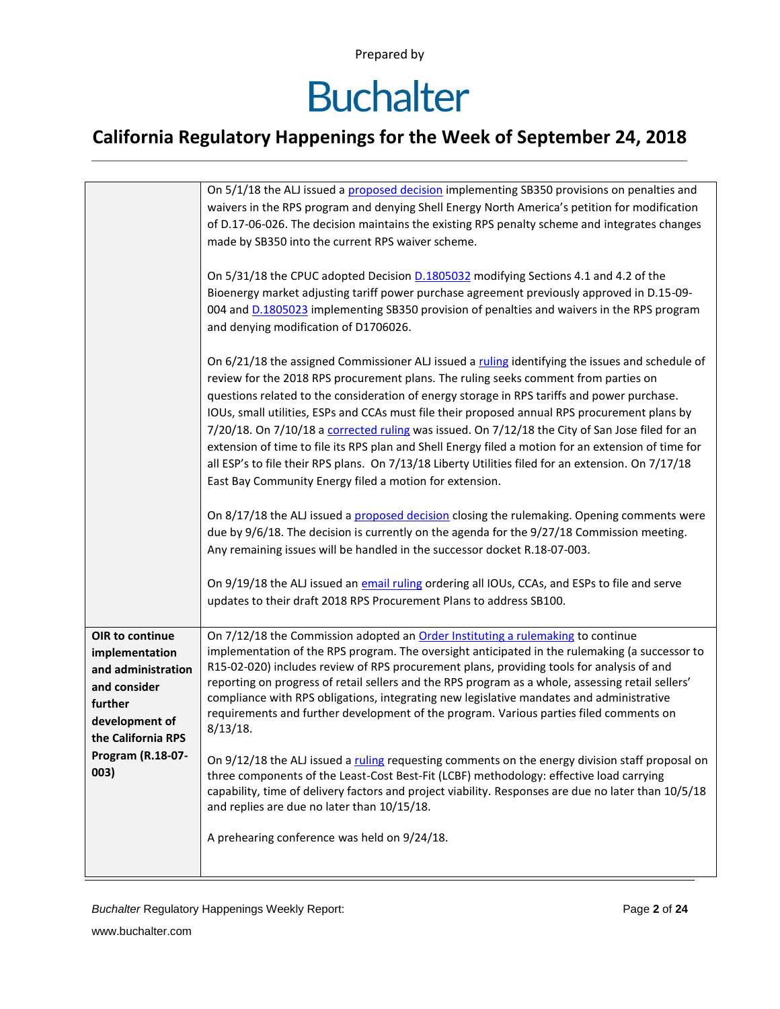# **Buchalter**

### **California Regulatory Happenings for the Week of September 24, 2018**

|                                                                                                                                                         | On 5/1/18 the ALJ issued a proposed decision implementing SB350 provisions on penalties and<br>waivers in the RPS program and denying Shell Energy North America's petition for modification<br>of D.17-06-026. The decision maintains the existing RPS penalty scheme and integrates changes<br>made by SB350 into the current RPS waiver scheme.                                                                                                                                                                                                                                                                                                                                                                                                                |
|---------------------------------------------------------------------------------------------------------------------------------------------------------|-------------------------------------------------------------------------------------------------------------------------------------------------------------------------------------------------------------------------------------------------------------------------------------------------------------------------------------------------------------------------------------------------------------------------------------------------------------------------------------------------------------------------------------------------------------------------------------------------------------------------------------------------------------------------------------------------------------------------------------------------------------------|
|                                                                                                                                                         | On 5/31/18 the CPUC adopted Decision <b>D.1805032</b> modifying Sections 4.1 and 4.2 of the<br>Bioenergy market adjusting tariff power purchase agreement previously approved in D.15-09-<br>004 and D.1805023 implementing SB350 provision of penalties and waivers in the RPS program<br>and denying modification of D1706026.                                                                                                                                                                                                                                                                                                                                                                                                                                  |
|                                                                                                                                                         | On 6/21/18 the assigned Commissioner ALJ issued a ruling identifying the issues and schedule of<br>review for the 2018 RPS procurement plans. The ruling seeks comment from parties on<br>questions related to the consideration of energy storage in RPS tariffs and power purchase.<br>IOUs, small utilities, ESPs and CCAs must file their proposed annual RPS procurement plans by<br>7/20/18. On 7/10/18 a corrected ruling was issued. On 7/12/18 the City of San Jose filed for an<br>extension of time to file its RPS plan and Shell Energy filed a motion for an extension of time for<br>all ESP's to file their RPS plans. On 7/13/18 Liberty Utilities filed for an extension. On 7/17/18<br>East Bay Community Energy filed a motion for extension. |
|                                                                                                                                                         | On 8/17/18 the ALJ issued a proposed decision closing the rulemaking. Opening comments were<br>due by 9/6/18. The decision is currently on the agenda for the 9/27/18 Commission meeting.<br>Any remaining issues will be handled in the successor docket R.18-07-003.                                                                                                                                                                                                                                                                                                                                                                                                                                                                                            |
|                                                                                                                                                         | On 9/19/18 the ALJ issued an email ruling ordering all IOUs, CCAs, and ESPs to file and serve<br>updates to their draft 2018 RPS Procurement Plans to address SB100.                                                                                                                                                                                                                                                                                                                                                                                                                                                                                                                                                                                              |
| OIR to continue<br>implementation<br>and administration<br>and consider<br>further<br>development of<br>the California RPS<br>Program (R.18-07-<br>003) | On 7/12/18 the Commission adopted an Order Instituting a rulemaking to continue<br>implementation of the RPS program. The oversight anticipated in the rulemaking (a successor to<br>R15-02-020) includes review of RPS procurement plans, providing tools for analysis of and<br>reporting on progress of retail sellers and the RPS program as a whole, assessing retail sellers'<br>compliance with RPS obligations, integrating new legislative mandates and administrative<br>requirements and further development of the program. Various parties filed comments on<br>$8/13/18$ .                                                                                                                                                                          |
|                                                                                                                                                         | On 9/12/18 the ALJ issued a ruling requesting comments on the energy division staff proposal on<br>three components of the Least-Cost Best-Fit (LCBF) methodology: effective load carrying<br>capability, time of delivery factors and project viability. Responses are due no later than 10/5/18<br>and replies are due no later than 10/15/18.                                                                                                                                                                                                                                                                                                                                                                                                                  |
|                                                                                                                                                         | A prehearing conference was held on 9/24/18.                                                                                                                                                                                                                                                                                                                                                                                                                                                                                                                                                                                                                                                                                                                      |

**Buchalter Regulatory Happenings Weekly Report:** Page 2 of 24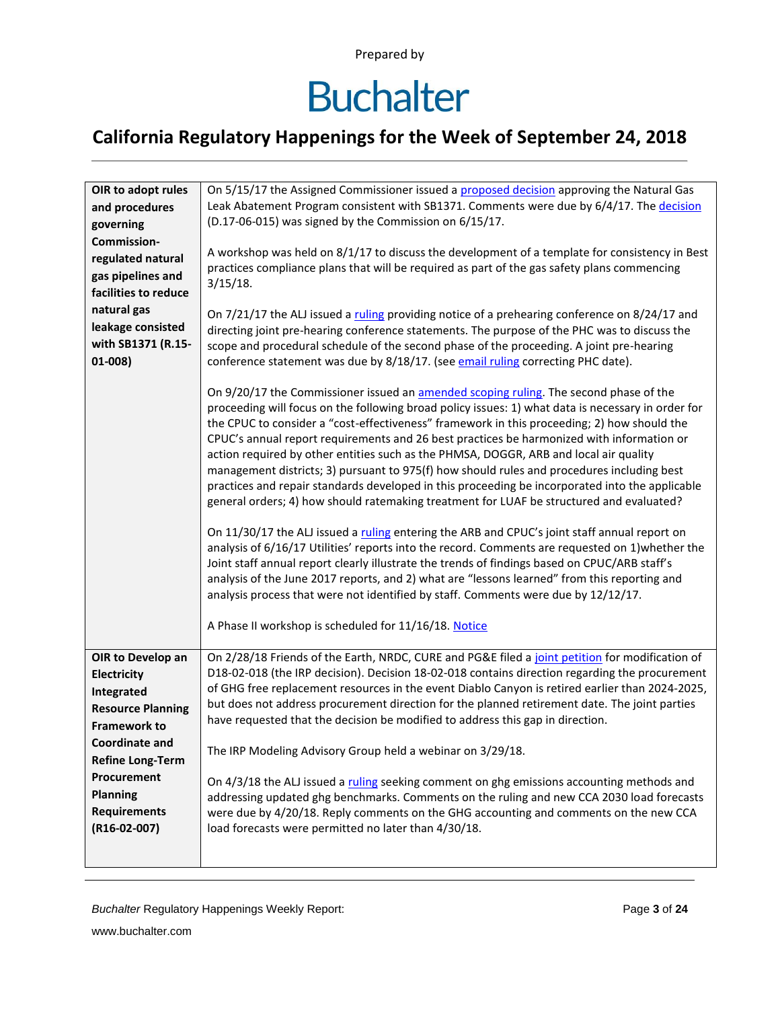## **Buchalter**

| OIR to adopt rules<br>and procedures<br>governing<br>Commission-<br>regulated natural<br>gas pipelines and<br>facilities to reduce<br>natural gas<br>leakage consisted<br>with SB1371 (R.15-<br>$01-008)$                        | On 5/15/17 the Assigned Commissioner issued a proposed decision approving the Natural Gas<br>Leak Abatement Program consistent with SB1371. Comments were due by 6/4/17. The decision<br>(D.17-06-015) was signed by the Commission on 6/15/17.<br>A workshop was held on 8/1/17 to discuss the development of a template for consistency in Best<br>practices compliance plans that will be required as part of the gas safety plans commencing<br>$3/15/18$ .<br>On 7/21/17 the ALJ issued a ruling providing notice of a prehearing conference on 8/24/17 and<br>directing joint pre-hearing conference statements. The purpose of the PHC was to discuss the<br>scope and procedural schedule of the second phase of the proceeding. A joint pre-hearing<br>conference statement was due by 8/18/17. (see email ruling correcting PHC date).<br>On 9/20/17 the Commissioner issued an amended scoping ruling. The second phase of the<br>proceeding will focus on the following broad policy issues: 1) what data is necessary in order for<br>the CPUC to consider a "cost-effectiveness" framework in this proceeding; 2) how should the<br>CPUC's annual report requirements and 26 best practices be harmonized with information or<br>action required by other entities such as the PHMSA, DOGGR, ARB and local air quality<br>management districts; 3) pursuant to 975(f) how should rules and procedures including best<br>practices and repair standards developed in this proceeding be incorporated into the applicable<br>general orders; 4) how should ratemaking treatment for LUAF be structured and evaluated?<br>On 11/30/17 the ALJ issued a ruling entering the ARB and CPUC's joint staff annual report on<br>analysis of 6/16/17 Utilities' reports into the record. Comments are requested on 1) whether the<br>Joint staff annual report clearly illustrate the trends of findings based on CPUC/ARB staff's<br>analysis of the June 2017 reports, and 2) what are "lessons learned" from this reporting and<br>analysis process that were not identified by staff. Comments were due by 12/12/17.<br>A Phase II workshop is scheduled for 11/16/18. Notice |
|----------------------------------------------------------------------------------------------------------------------------------------------------------------------------------------------------------------------------------|---------------------------------------------------------------------------------------------------------------------------------------------------------------------------------------------------------------------------------------------------------------------------------------------------------------------------------------------------------------------------------------------------------------------------------------------------------------------------------------------------------------------------------------------------------------------------------------------------------------------------------------------------------------------------------------------------------------------------------------------------------------------------------------------------------------------------------------------------------------------------------------------------------------------------------------------------------------------------------------------------------------------------------------------------------------------------------------------------------------------------------------------------------------------------------------------------------------------------------------------------------------------------------------------------------------------------------------------------------------------------------------------------------------------------------------------------------------------------------------------------------------------------------------------------------------------------------------------------------------------------------------------------------------------------------------------------------------------------------------------------------------------------------------------------------------------------------------------------------------------------------------------------------------------------------------------------------------------------------------------------------------------------------------------------------------------------------------------------------------------------------------------------------------------------------------|
| OIR to Develop an<br>Electricity<br>Integrated<br><b>Resource Planning</b><br><b>Framework to</b><br><b>Coordinate and</b><br><b>Refine Long-Term</b><br>Procurement<br><b>Planning</b><br><b>Requirements</b><br>$(R16-02-007)$ | On 2/28/18 Friends of the Earth, NRDC, CURE and PG&E filed a joint petition for modification of<br>D18-02-018 (the IRP decision). Decision 18-02-018 contains direction regarding the procurement<br>of GHG free replacement resources in the event Diablo Canyon is retired earlier than 2024-2025,<br>but does not address procurement direction for the planned retirement date. The joint parties<br>have requested that the decision be modified to address this gap in direction.<br>The IRP Modeling Advisory Group held a webinar on 3/29/18.<br>On 4/3/18 the ALJ issued a ruling seeking comment on ghg emissions accounting methods and<br>addressing updated ghg benchmarks. Comments on the ruling and new CCA 2030 load forecasts<br>were due by 4/20/18. Reply comments on the GHG accounting and comments on the new CCA<br>load forecasts were permitted no later than 4/30/18.                                                                                                                                                                                                                                                                                                                                                                                                                                                                                                                                                                                                                                                                                                                                                                                                                                                                                                                                                                                                                                                                                                                                                                                                                                                                                      |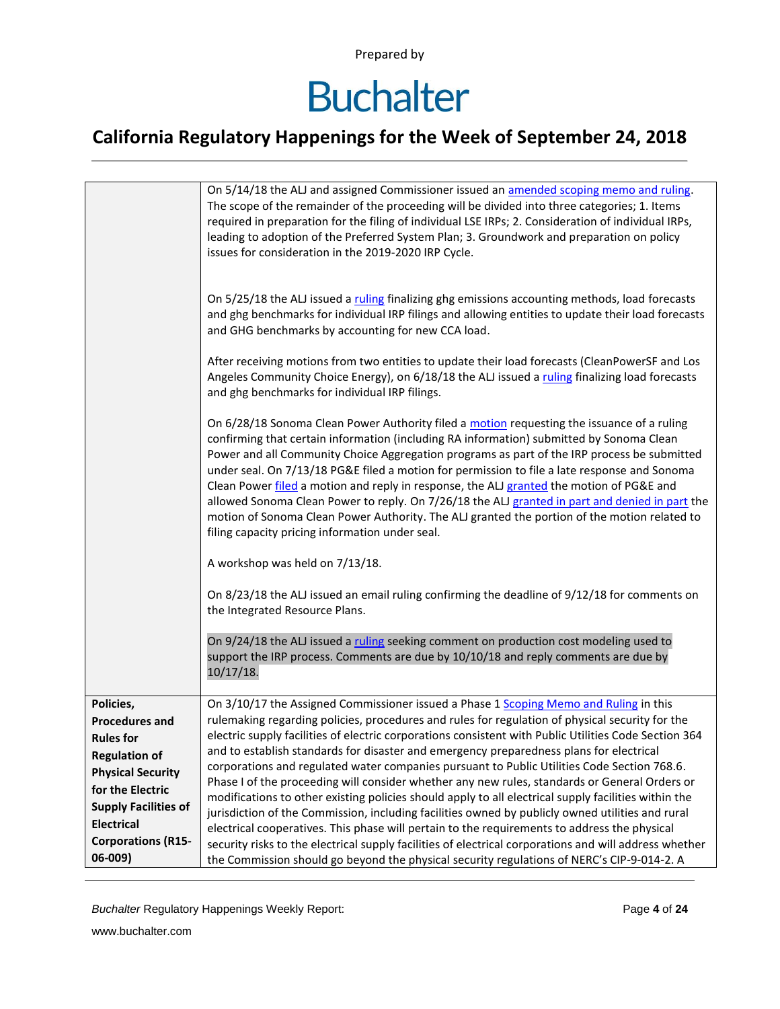### **Buchalter**

### **California Regulatory Happenings for the Week of September 24, 2018**

|                                                                                                                                                                                                                 | On 5/14/18 the ALJ and assigned Commissioner issued an amended scoping memo and ruling.<br>The scope of the remainder of the proceeding will be divided into three categories; 1. Items<br>required in preparation for the filing of individual LSE IRPs; 2. Consideration of individual IRPs,<br>leading to adoption of the Preferred System Plan; 3. Groundwork and preparation on policy<br>issues for consideration in the 2019-2020 IRP Cycle.                                                                                                                                                                                                                                                                                                                                                                                                                                                                                                                                                                |
|-----------------------------------------------------------------------------------------------------------------------------------------------------------------------------------------------------------------|--------------------------------------------------------------------------------------------------------------------------------------------------------------------------------------------------------------------------------------------------------------------------------------------------------------------------------------------------------------------------------------------------------------------------------------------------------------------------------------------------------------------------------------------------------------------------------------------------------------------------------------------------------------------------------------------------------------------------------------------------------------------------------------------------------------------------------------------------------------------------------------------------------------------------------------------------------------------------------------------------------------------|
|                                                                                                                                                                                                                 | On 5/25/18 the ALJ issued a ruling finalizing ghg emissions accounting methods, load forecasts<br>and ghg benchmarks for individual IRP filings and allowing entities to update their load forecasts<br>and GHG benchmarks by accounting for new CCA load.                                                                                                                                                                                                                                                                                                                                                                                                                                                                                                                                                                                                                                                                                                                                                         |
|                                                                                                                                                                                                                 | After receiving motions from two entities to update their load forecasts (CleanPowerSF and Los<br>Angeles Community Choice Energy), on 6/18/18 the ALJ issued a ruling finalizing load forecasts<br>and ghg benchmarks for individual IRP filings.                                                                                                                                                                                                                                                                                                                                                                                                                                                                                                                                                                                                                                                                                                                                                                 |
|                                                                                                                                                                                                                 | On 6/28/18 Sonoma Clean Power Authority filed a motion requesting the issuance of a ruling<br>confirming that certain information (including RA information) submitted by Sonoma Clean<br>Power and all Community Choice Aggregation programs as part of the IRP process be submitted<br>under seal. On 7/13/18 PG&E filed a motion for permission to file a late response and Sonoma<br>Clean Power filed a motion and reply in response, the ALJ granted the motion of PG&E and<br>allowed Sonoma Clean Power to reply. On 7/26/18 the ALJ granted in part and denied in part the<br>motion of Sonoma Clean Power Authority. The ALJ granted the portion of the motion related to<br>filing capacity pricing information under seal.                                                                                                                                                                                                                                                                             |
|                                                                                                                                                                                                                 | A workshop was held on 7/13/18.                                                                                                                                                                                                                                                                                                                                                                                                                                                                                                                                                                                                                                                                                                                                                                                                                                                                                                                                                                                    |
|                                                                                                                                                                                                                 | On 8/23/18 the ALJ issued an email ruling confirming the deadline of 9/12/18 for comments on<br>the Integrated Resource Plans.                                                                                                                                                                                                                                                                                                                                                                                                                                                                                                                                                                                                                                                                                                                                                                                                                                                                                     |
|                                                                                                                                                                                                                 | On 9/24/18 the ALJ issued a ruling seeking comment on production cost modeling used to<br>support the IRP process. Comments are due by 10/10/18 and reply comments are due by<br>10/17/18.                                                                                                                                                                                                                                                                                                                                                                                                                                                                                                                                                                                                                                                                                                                                                                                                                         |
| Policies,<br><b>Procedures and</b><br><b>Rules for</b><br><b>Regulation of</b><br><b>Physical Security</b><br>for the Electric<br><b>Supply Facilities of</b><br><b>Electrical</b><br><b>Corporations (R15-</b> | On 3/10/17 the Assigned Commissioner issued a Phase 1 Scoping Memo and Ruling in this<br>rulemaking regarding policies, procedures and rules for regulation of physical security for the<br>electric supply facilities of electric corporations consistent with Public Utilities Code Section 364<br>and to establish standards for disaster and emergency preparedness plans for electrical<br>corporations and regulated water companies pursuant to Public Utilities Code Section 768.6.<br>Phase I of the proceeding will consider whether any new rules, standards or General Orders or<br>modifications to other existing policies should apply to all electrical supply facilities within the<br>jurisdiction of the Commission, including facilities owned by publicly owned utilities and rural<br>electrical cooperatives. This phase will pertain to the requirements to address the physical<br>security risks to the electrical supply facilities of electrical corporations and will address whether |
| 06-009)                                                                                                                                                                                                         | the Commission should go beyond the physical security regulations of NERC's CIP-9-014-2. A                                                                                                                                                                                                                                                                                                                                                                                                                                                                                                                                                                                                                                                                                                                                                                                                                                                                                                                         |

**Buchalter Regulatory Happenings Weekly Report:** Page 4 of 24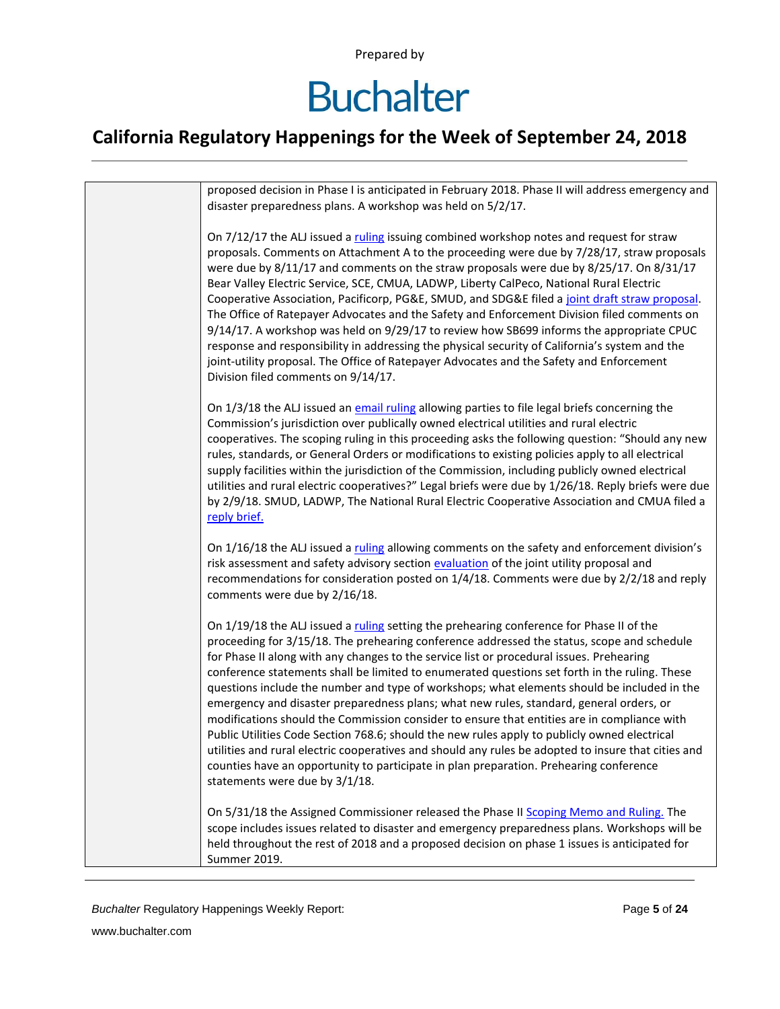### **Buchalter**

| proposed decision in Phase I is anticipated in February 2018. Phase II will address emergency and<br>disaster preparedness plans. A workshop was held on 5/2/17.                                                                                                                                                                                                                                                                                                                                                                                                                                                                                                                                                                                                                                                                                                                                                                                                                                                |
|-----------------------------------------------------------------------------------------------------------------------------------------------------------------------------------------------------------------------------------------------------------------------------------------------------------------------------------------------------------------------------------------------------------------------------------------------------------------------------------------------------------------------------------------------------------------------------------------------------------------------------------------------------------------------------------------------------------------------------------------------------------------------------------------------------------------------------------------------------------------------------------------------------------------------------------------------------------------------------------------------------------------|
| On 7/12/17 the ALJ issued a ruling issuing combined workshop notes and request for straw<br>proposals. Comments on Attachment A to the proceeding were due by 7/28/17, straw proposals<br>were due by 8/11/17 and comments on the straw proposals were due by 8/25/17. On 8/31/17<br>Bear Valley Electric Service, SCE, CMUA, LADWP, Liberty CalPeco, National Rural Electric<br>Cooperative Association, Pacificorp, PG&E, SMUD, and SDG&E filed a joint draft straw proposal.<br>The Office of Ratepayer Advocates and the Safety and Enforcement Division filed comments on<br>9/14/17. A workshop was held on 9/29/17 to review how SB699 informs the appropriate CPUC<br>response and responsibility in addressing the physical security of California's system and the<br>joint-utility proposal. The Office of Ratepayer Advocates and the Safety and Enforcement<br>Division filed comments on 9/14/17.                                                                                                 |
| On 1/3/18 the ALJ issued an email ruling allowing parties to file legal briefs concerning the<br>Commission's jurisdiction over publically owned electrical utilities and rural electric<br>cooperatives. The scoping ruling in this proceeding asks the following question: "Should any new<br>rules, standards, or General Orders or modifications to existing policies apply to all electrical<br>supply facilities within the jurisdiction of the Commission, including publicly owned electrical<br>utilities and rural electric cooperatives?" Legal briefs were due by 1/26/18. Reply briefs were due<br>by 2/9/18. SMUD, LADWP, The National Rural Electric Cooperative Association and CMUA filed a<br>reply brief.                                                                                                                                                                                                                                                                                    |
| On 1/16/18 the ALJ issued a ruling allowing comments on the safety and enforcement division's<br>risk assessment and safety advisory section evaluation of the joint utility proposal and<br>recommendations for consideration posted on 1/4/18. Comments were due by 2/2/18 and reply<br>comments were due by 2/16/18.                                                                                                                                                                                                                                                                                                                                                                                                                                                                                                                                                                                                                                                                                         |
| On 1/19/18 the ALJ issued a ruling setting the prehearing conference for Phase II of the<br>proceeding for 3/15/18. The prehearing conference addressed the status, scope and schedule<br>for Phase II along with any changes to the service list or procedural issues. Prehearing<br>conference statements shall be limited to enumerated questions set forth in the ruling. These<br>questions include the number and type of workshops; what elements should be included in the<br>emergency and disaster preparedness plans; what new rules, standard, general orders, or<br>modifications should the Commission consider to ensure that entities are in compliance with<br>Public Utilities Code Section 768.6; should the new rules apply to publicly owned electrical<br>utilities and rural electric cooperatives and should any rules be adopted to insure that cities and<br>counties have an opportunity to participate in plan preparation. Prehearing conference<br>statements were due by 3/1/18. |
| On 5/31/18 the Assigned Commissioner released the Phase II Scoping Memo and Ruling. The<br>scope includes issues related to disaster and emergency preparedness plans. Workshops will be<br>held throughout the rest of 2018 and a proposed decision on phase 1 issues is anticipated for<br>Summer 2019.                                                                                                                                                                                                                                                                                                                                                                                                                                                                                                                                                                                                                                                                                                       |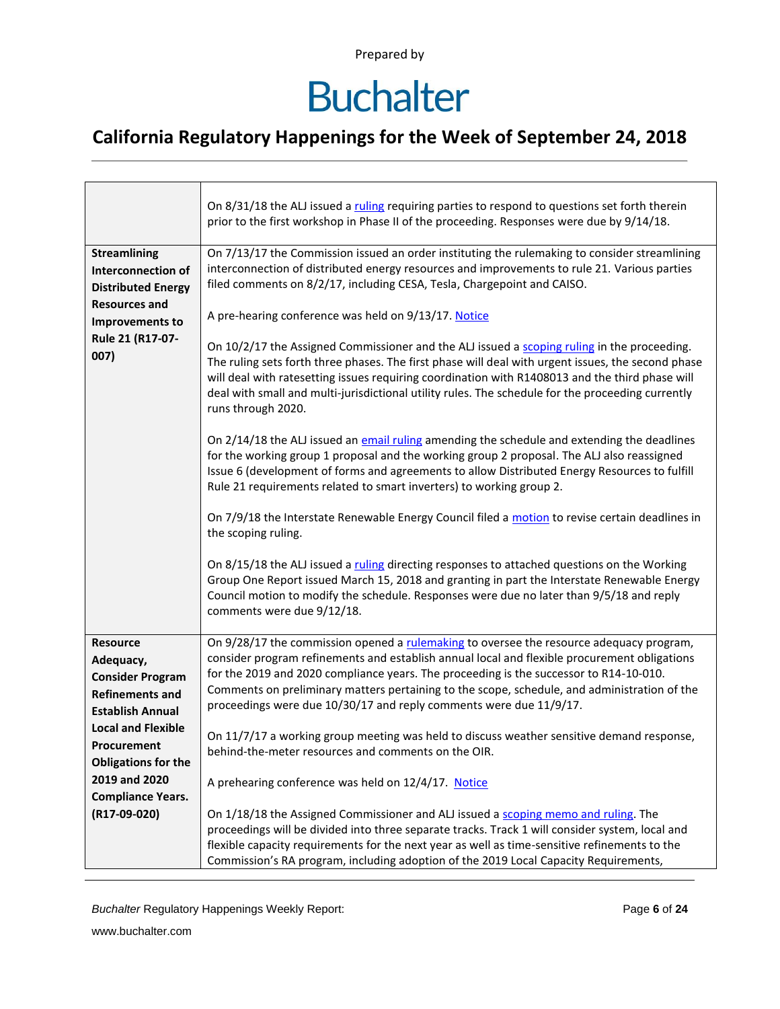## **Buchalter**

### **California Regulatory Happenings for the Week of September 24, 2018**

|                                                                                                                                                                                                                                                     | On 8/31/18 the ALJ issued a ruling requiring parties to respond to questions set forth therein<br>prior to the first workshop in Phase II of the proceeding. Responses were due by 9/14/18.                                                                                                                                                                                                                                                                                                                                                                                                                                                                                                                                                                                                                                                                                                                                                                                                                                                                                                                                                                                                                                                                                                                                                                                                                                                                                                                                                                                                 |
|-----------------------------------------------------------------------------------------------------------------------------------------------------------------------------------------------------------------------------------------------------|---------------------------------------------------------------------------------------------------------------------------------------------------------------------------------------------------------------------------------------------------------------------------------------------------------------------------------------------------------------------------------------------------------------------------------------------------------------------------------------------------------------------------------------------------------------------------------------------------------------------------------------------------------------------------------------------------------------------------------------------------------------------------------------------------------------------------------------------------------------------------------------------------------------------------------------------------------------------------------------------------------------------------------------------------------------------------------------------------------------------------------------------------------------------------------------------------------------------------------------------------------------------------------------------------------------------------------------------------------------------------------------------------------------------------------------------------------------------------------------------------------------------------------------------------------------------------------------------|
| <b>Streamlining</b><br><b>Interconnection of</b><br><b>Distributed Energy</b><br><b>Resources and</b><br>Improvements to<br>Rule 21 (R17-07-<br>007)                                                                                                | On 7/13/17 the Commission issued an order instituting the rulemaking to consider streamlining<br>interconnection of distributed energy resources and improvements to rule 21. Various parties<br>filed comments on 8/2/17, including CESA, Tesla, Chargepoint and CAISO.<br>A pre-hearing conference was held on 9/13/17. Notice<br>On 10/2/17 the Assigned Commissioner and the ALJ issued a scoping ruling in the proceeding.<br>The ruling sets forth three phases. The first phase will deal with urgent issues, the second phase<br>will deal with ratesetting issues requiring coordination with R1408013 and the third phase will<br>deal with small and multi-jurisdictional utility rules. The schedule for the proceeding currently<br>runs through 2020.<br>On 2/14/18 the ALJ issued an email ruling amending the schedule and extending the deadlines<br>for the working group 1 proposal and the working group 2 proposal. The ALJ also reassigned<br>Issue 6 (development of forms and agreements to allow Distributed Energy Resources to fulfill<br>Rule 21 requirements related to smart inverters) to working group 2.<br>On 7/9/18 the Interstate Renewable Energy Council filed a motion to revise certain deadlines in<br>the scoping ruling.<br>On 8/15/18 the ALJ issued a ruling directing responses to attached questions on the Working<br>Group One Report issued March 15, 2018 and granting in part the Interstate Renewable Energy<br>Council motion to modify the schedule. Responses were due no later than 9/5/18 and reply<br>comments were due 9/12/18. |
| <b>Resource</b><br>Adequacy,<br><b>Consider Program</b><br><b>Refinements and</b><br><b>Establish Annual</b><br><b>Local and Flexible</b><br>Procurement<br><b>Obligations for the</b><br>2019 and 2020<br><b>Compliance Years.</b><br>(R17-09-020) | On 9/28/17 the commission opened a rulemaking to oversee the resource adequacy program,<br>consider program refinements and establish annual local and flexible procurement obligations<br>for the 2019 and 2020 compliance years. The proceeding is the successor to R14-10-010.<br>Comments on preliminary matters pertaining to the scope, schedule, and administration of the<br>proceedings were due 10/30/17 and reply comments were due 11/9/17.<br>On 11/7/17 a working group meeting was held to discuss weather sensitive demand response,<br>behind-the-meter resources and comments on the OIR.<br>A prehearing conference was held on 12/4/17. Notice<br>On 1/18/18 the Assigned Commissioner and ALJ issued a scoping memo and ruling. The                                                                                                                                                                                                                                                                                                                                                                                                                                                                                                                                                                                                                                                                                                                                                                                                                                    |
|                                                                                                                                                                                                                                                     | proceedings will be divided into three separate tracks. Track 1 will consider system, local and<br>flexible capacity requirements for the next year as well as time-sensitive refinements to the<br>Commission's RA program, including adoption of the 2019 Local Capacity Requirements,                                                                                                                                                                                                                                                                                                                                                                                                                                                                                                                                                                                                                                                                                                                                                                                                                                                                                                                                                                                                                                                                                                                                                                                                                                                                                                    |

**Buchalter Regulatory Happenings Weekly Report:** Page 6 of 24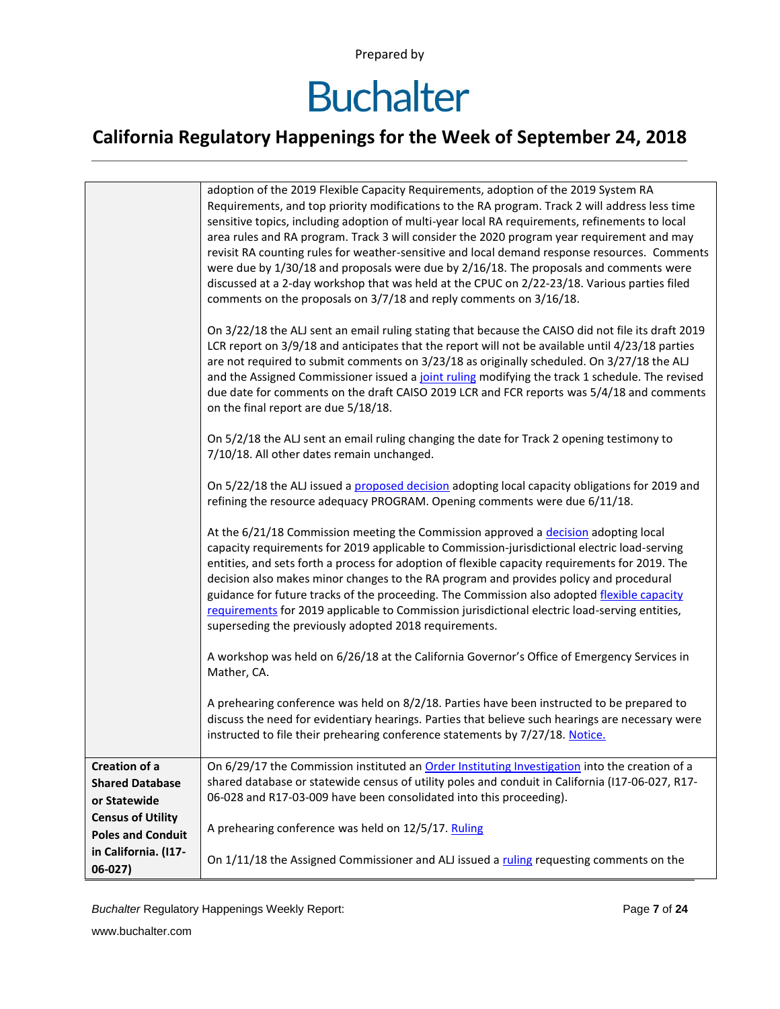# **Buchalter**

### **California Regulatory Happenings for the Week of September 24, 2018**

|                          | adoption of the 2019 Flexible Capacity Requirements, adoption of the 2019 System RA<br>Requirements, and top priority modifications to the RA program. Track 2 will address less time<br>sensitive topics, including adoption of multi-year local RA requirements, refinements to local<br>area rules and RA program. Track 3 will consider the 2020 program year requirement and may<br>revisit RA counting rules for weather-sensitive and local demand response resources. Comments<br>were due by 1/30/18 and proposals were due by 2/16/18. The proposals and comments were<br>discussed at a 2-day workshop that was held at the CPUC on 2/22-23/18. Various parties filed<br>comments on the proposals on 3/7/18 and reply comments on 3/16/18.<br>On 3/22/18 the ALJ sent an email ruling stating that because the CAISO did not file its draft 2019<br>LCR report on 3/9/18 and anticipates that the report will not be available until 4/23/18 parties<br>are not required to submit comments on 3/23/18 as originally scheduled. On 3/27/18 the ALJ<br>and the Assigned Commissioner issued a joint ruling modifying the track 1 schedule. The revised<br>due date for comments on the draft CAISO 2019 LCR and FCR reports was 5/4/18 and comments<br>on the final report are due 5/18/18.<br>On 5/2/18 the ALJ sent an email ruling changing the date for Track 2 opening testimony to<br>7/10/18. All other dates remain unchanged.<br>On 5/22/18 the ALJ issued a proposed decision adopting local capacity obligations for 2019 and<br>refining the resource adequacy PROGRAM. Opening comments were due 6/11/18.<br>At the 6/21/18 Commission meeting the Commission approved a decision adopting local<br>capacity requirements for 2019 applicable to Commission-jurisdictional electric load-serving<br>entities, and sets forth a process for adoption of flexible capacity requirements for 2019. The<br>decision also makes minor changes to the RA program and provides policy and procedural<br>guidance for future tracks of the proceeding. The Commission also adopted flexible capacity<br>requirements for 2019 applicable to Commission jurisdictional electric load-serving entities,<br>superseding the previously adopted 2018 requirements.<br>A workshop was held on 6/26/18 at the California Governor's Office of Emergency Services in<br>Mather, CA.<br>A prehearing conference was held on 8/2/18. Parties have been instructed to be prepared to |
|--------------------------|--------------------------------------------------------------------------------------------------------------------------------------------------------------------------------------------------------------------------------------------------------------------------------------------------------------------------------------------------------------------------------------------------------------------------------------------------------------------------------------------------------------------------------------------------------------------------------------------------------------------------------------------------------------------------------------------------------------------------------------------------------------------------------------------------------------------------------------------------------------------------------------------------------------------------------------------------------------------------------------------------------------------------------------------------------------------------------------------------------------------------------------------------------------------------------------------------------------------------------------------------------------------------------------------------------------------------------------------------------------------------------------------------------------------------------------------------------------------------------------------------------------------------------------------------------------------------------------------------------------------------------------------------------------------------------------------------------------------------------------------------------------------------------------------------------------------------------------------------------------------------------------------------------------------------------------------------------------------------------------------------------------------------------------------------------------------------------------------------------------------------------------------------------------------------------------------------------------------------------------------------------------------------------------------------------------------------------------------------------------------------------------------------------------------------------------------------------------------------------------------|
|                          | discuss the need for evidentiary hearings. Parties that believe such hearings are necessary were<br>instructed to file their prehearing conference statements by 7/27/18. Notice.                                                                                                                                                                                                                                                                                                                                                                                                                                                                                                                                                                                                                                                                                                                                                                                                                                                                                                                                                                                                                                                                                                                                                                                                                                                                                                                                                                                                                                                                                                                                                                                                                                                                                                                                                                                                                                                                                                                                                                                                                                                                                                                                                                                                                                                                                                          |
| Creation of a            | On 6/29/17 the Commission instituted an Order Instituting Investigation into the creation of a                                                                                                                                                                                                                                                                                                                                                                                                                                                                                                                                                                                                                                                                                                                                                                                                                                                                                                                                                                                                                                                                                                                                                                                                                                                                                                                                                                                                                                                                                                                                                                                                                                                                                                                                                                                                                                                                                                                                                                                                                                                                                                                                                                                                                                                                                                                                                                                             |
| <b>Shared Database</b>   | shared database or statewide census of utility poles and conduit in California (I17-06-027, R17-                                                                                                                                                                                                                                                                                                                                                                                                                                                                                                                                                                                                                                                                                                                                                                                                                                                                                                                                                                                                                                                                                                                                                                                                                                                                                                                                                                                                                                                                                                                                                                                                                                                                                                                                                                                                                                                                                                                                                                                                                                                                                                                                                                                                                                                                                                                                                                                           |
|                          | 06-028 and R17-03-009 have been consolidated into this proceeding).                                                                                                                                                                                                                                                                                                                                                                                                                                                                                                                                                                                                                                                                                                                                                                                                                                                                                                                                                                                                                                                                                                                                                                                                                                                                                                                                                                                                                                                                                                                                                                                                                                                                                                                                                                                                                                                                                                                                                                                                                                                                                                                                                                                                                                                                                                                                                                                                                        |
| or Statewide             |                                                                                                                                                                                                                                                                                                                                                                                                                                                                                                                                                                                                                                                                                                                                                                                                                                                                                                                                                                                                                                                                                                                                                                                                                                                                                                                                                                                                                                                                                                                                                                                                                                                                                                                                                                                                                                                                                                                                                                                                                                                                                                                                                                                                                                                                                                                                                                                                                                                                                            |
| <b>Census of Utility</b> |                                                                                                                                                                                                                                                                                                                                                                                                                                                                                                                                                                                                                                                                                                                                                                                                                                                                                                                                                                                                                                                                                                                                                                                                                                                                                                                                                                                                                                                                                                                                                                                                                                                                                                                                                                                                                                                                                                                                                                                                                                                                                                                                                                                                                                                                                                                                                                                                                                                                                            |
| <b>Poles and Conduit</b> | A prehearing conference was held on 12/5/17. Ruling                                                                                                                                                                                                                                                                                                                                                                                                                                                                                                                                                                                                                                                                                                                                                                                                                                                                                                                                                                                                                                                                                                                                                                                                                                                                                                                                                                                                                                                                                                                                                                                                                                                                                                                                                                                                                                                                                                                                                                                                                                                                                                                                                                                                                                                                                                                                                                                                                                        |
| in California. (I17-     |                                                                                                                                                                                                                                                                                                                                                                                                                                                                                                                                                                                                                                                                                                                                                                                                                                                                                                                                                                                                                                                                                                                                                                                                                                                                                                                                                                                                                                                                                                                                                                                                                                                                                                                                                                                                                                                                                                                                                                                                                                                                                                                                                                                                                                                                                                                                                                                                                                                                                            |
|                          | On 1/11/18 the Assigned Commissioner and ALJ issued a ruling requesting comments on the                                                                                                                                                                                                                                                                                                                                                                                                                                                                                                                                                                                                                                                                                                                                                                                                                                                                                                                                                                                                                                                                                                                                                                                                                                                                                                                                                                                                                                                                                                                                                                                                                                                                                                                                                                                                                                                                                                                                                                                                                                                                                                                                                                                                                                                                                                                                                                                                    |
| $06-027)$                |                                                                                                                                                                                                                                                                                                                                                                                                                                                                                                                                                                                                                                                                                                                                                                                                                                                                                                                                                                                                                                                                                                                                                                                                                                                                                                                                                                                                                                                                                                                                                                                                                                                                                                                                                                                                                                                                                                                                                                                                                                                                                                                                                                                                                                                                                                                                                                                                                                                                                            |

**Buchalter Regulatory Happenings Weekly Report:** Page 7 of 24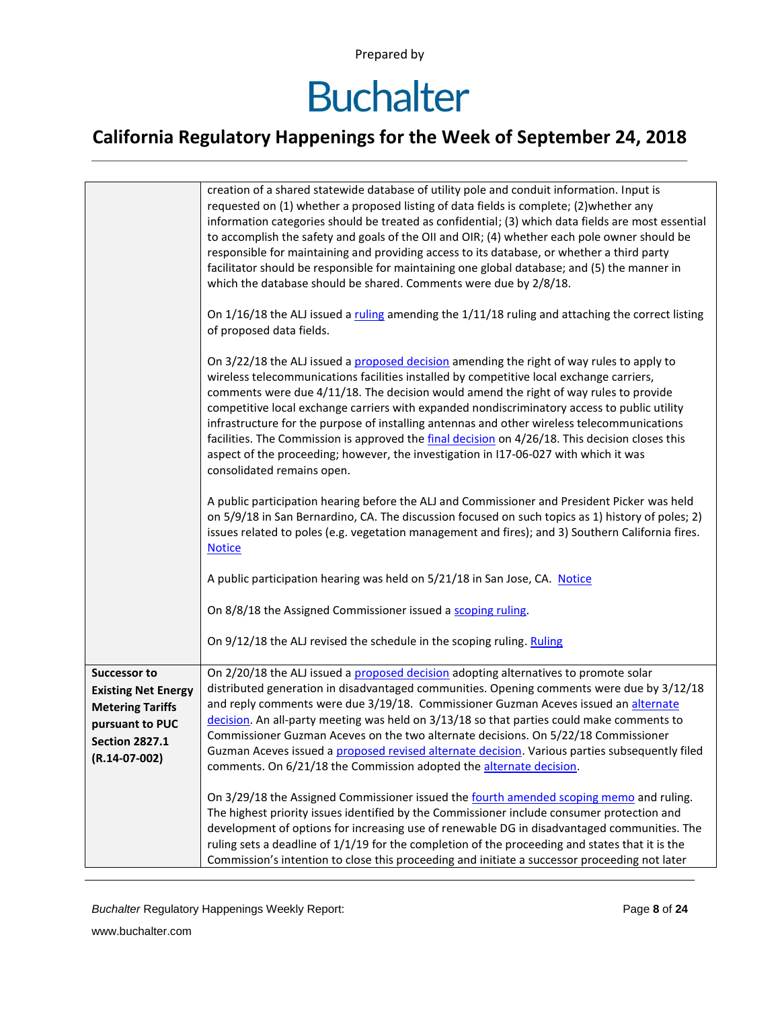# **Buchalter**

|                                                                                                                                             | creation of a shared statewide database of utility pole and conduit information. Input is<br>requested on (1) whether a proposed listing of data fields is complete; (2) whether any<br>information categories should be treated as confidential; (3) which data fields are most essential<br>to accomplish the safety and goals of the OII and OIR; (4) whether each pole owner should be<br>responsible for maintaining and providing access to its database, or whether a third party<br>facilitator should be responsible for maintaining one global database; and (5) the manner in<br>which the database should be shared. Comments were due by 2/8/18.                                          |
|---------------------------------------------------------------------------------------------------------------------------------------------|--------------------------------------------------------------------------------------------------------------------------------------------------------------------------------------------------------------------------------------------------------------------------------------------------------------------------------------------------------------------------------------------------------------------------------------------------------------------------------------------------------------------------------------------------------------------------------------------------------------------------------------------------------------------------------------------------------|
|                                                                                                                                             | On $1/16/18$ the ALJ issued a ruling amending the $1/11/18$ ruling and attaching the correct listing<br>of proposed data fields.                                                                                                                                                                                                                                                                                                                                                                                                                                                                                                                                                                       |
|                                                                                                                                             | On 3/22/18 the ALJ issued a proposed decision amending the right of way rules to apply to<br>wireless telecommunications facilities installed by competitive local exchange carriers,<br>comments were due 4/11/18. The decision would amend the right of way rules to provide<br>competitive local exchange carriers with expanded nondiscriminatory access to public utility<br>infrastructure for the purpose of installing antennas and other wireless telecommunications<br>facilities. The Commission is approved the final decision on 4/26/18. This decision closes this<br>aspect of the proceeding; however, the investigation in I17-06-027 with which it was<br>consolidated remains open. |
|                                                                                                                                             | A public participation hearing before the ALJ and Commissioner and President Picker was held<br>on 5/9/18 in San Bernardino, CA. The discussion focused on such topics as 1) history of poles; 2)<br>issues related to poles (e.g. vegetation management and fires); and 3) Southern California fires.<br><b>Notice</b>                                                                                                                                                                                                                                                                                                                                                                                |
|                                                                                                                                             | A public participation hearing was held on 5/21/18 in San Jose, CA. Notice                                                                                                                                                                                                                                                                                                                                                                                                                                                                                                                                                                                                                             |
|                                                                                                                                             | On 8/8/18 the Assigned Commissioner issued a scoping ruling.                                                                                                                                                                                                                                                                                                                                                                                                                                                                                                                                                                                                                                           |
|                                                                                                                                             | On 9/12/18 the ALJ revised the schedule in the scoping ruling. Ruling                                                                                                                                                                                                                                                                                                                                                                                                                                                                                                                                                                                                                                  |
| <b>Successor to</b><br><b>Existing Net Energy</b><br><b>Metering Tariffs</b><br>pursuant to PUC<br><b>Section 2827.1</b><br>$(R.14-07-002)$ | On 2/20/18 the ALJ issued a proposed decision adopting alternatives to promote solar<br>distributed generation in disadvantaged communities. Opening comments were due by 3/12/18<br>and reply comments were due 3/19/18. Commissioner Guzman Aceves issued an alternate<br>decision. An all-party meeting was held on 3/13/18 so that parties could make comments to<br>Commissioner Guzman Aceves on the two alternate decisions. On 5/22/18 Commissioner<br>Guzman Aceves issued a proposed revised alternate decision. Various parties subsequently filed<br>comments. On 6/21/18 the Commission adopted the alternate decision.                                                                   |
|                                                                                                                                             | On 3/29/18 the Assigned Commissioner issued the fourth amended scoping memo and ruling.<br>The highest priority issues identified by the Commissioner include consumer protection and<br>development of options for increasing use of renewable DG in disadvantaged communities. The<br>ruling sets a deadline of 1/1/19 for the completion of the proceeding and states that it is the<br>Commission's intention to close this proceeding and initiate a successor proceeding not later                                                                                                                                                                                                               |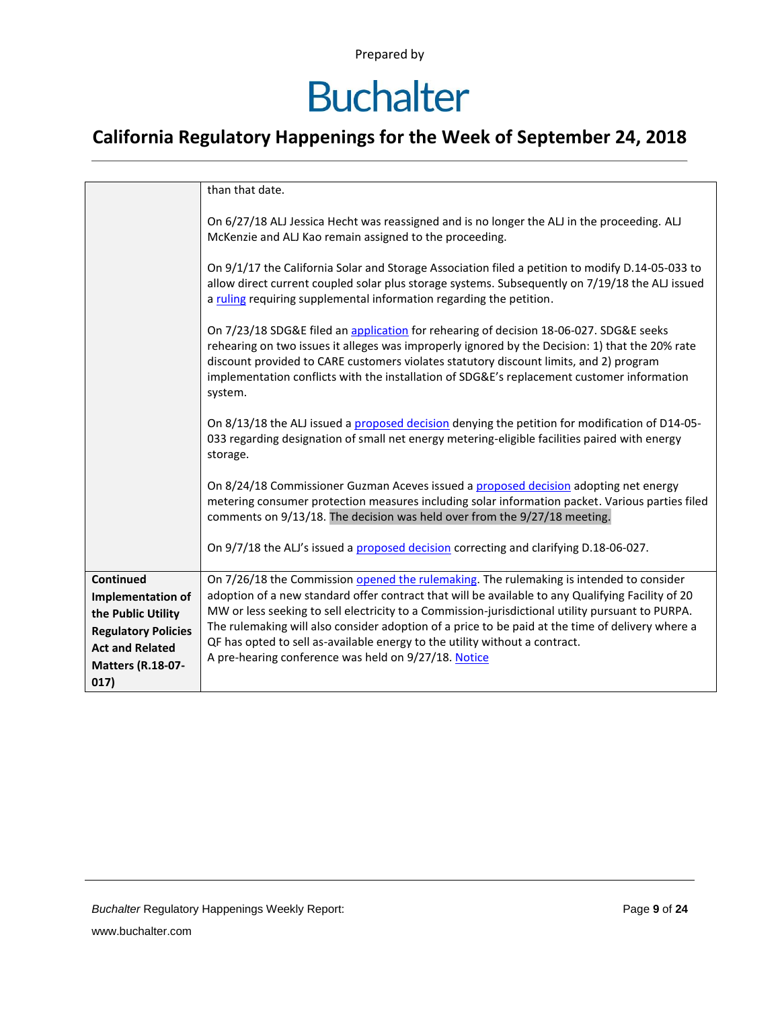### **Buchalter**

|                                                                                                                                                  | than that date.                                                                                                                                                                                                                                                                                                                                                                                                                                                                                                                             |
|--------------------------------------------------------------------------------------------------------------------------------------------------|---------------------------------------------------------------------------------------------------------------------------------------------------------------------------------------------------------------------------------------------------------------------------------------------------------------------------------------------------------------------------------------------------------------------------------------------------------------------------------------------------------------------------------------------|
|                                                                                                                                                  | On 6/27/18 ALJ Jessica Hecht was reassigned and is no longer the ALJ in the proceeding. ALJ<br>McKenzie and ALJ Kao remain assigned to the proceeding.                                                                                                                                                                                                                                                                                                                                                                                      |
|                                                                                                                                                  | On $9/1/17$ the California Solar and Storage Association filed a petition to modify D.14-05-033 to<br>allow direct current coupled solar plus storage systems. Subsequently on 7/19/18 the ALJ issued<br>a ruling requiring supplemental information regarding the petition.                                                                                                                                                                                                                                                                |
|                                                                                                                                                  | On 7/23/18 SDG&E filed an application for rehearing of decision 18-06-027. SDG&E seeks<br>rehearing on two issues it alleges was improperly ignored by the Decision: 1) that the 20% rate<br>discount provided to CARE customers violates statutory discount limits, and 2) program<br>implementation conflicts with the installation of SDG&E's replacement customer information<br>system.                                                                                                                                                |
|                                                                                                                                                  | On 8/13/18 the ALJ issued a proposed decision denying the petition for modification of D14-05-<br>033 regarding designation of small net energy metering-eligible facilities paired with energy<br>storage.                                                                                                                                                                                                                                                                                                                                 |
|                                                                                                                                                  | On 8/24/18 Commissioner Guzman Aceves issued a proposed decision adopting net energy<br>metering consumer protection measures including solar information packet. Various parties filed<br>comments on 9/13/18. The decision was held over from the 9/27/18 meeting.                                                                                                                                                                                                                                                                        |
|                                                                                                                                                  | On 9/7/18 the ALJ's issued a proposed decision correcting and clarifying D.18-06-027.                                                                                                                                                                                                                                                                                                                                                                                                                                                       |
| Continued<br>Implementation of<br>the Public Utility<br><b>Regulatory Policies</b><br><b>Act and Related</b><br><b>Matters (R.18-07-</b><br>017) | On 7/26/18 the Commission opened the rulemaking. The rulemaking is intended to consider<br>adoption of a new standard offer contract that will be available to any Qualifying Facility of 20<br>MW or less seeking to sell electricity to a Commission-jurisdictional utility pursuant to PURPA.<br>The rulemaking will also consider adoption of a price to be paid at the time of delivery where a<br>QF has opted to sell as-available energy to the utility without a contract.<br>A pre-hearing conference was held on 9/27/18. Notice |
|                                                                                                                                                  |                                                                                                                                                                                                                                                                                                                                                                                                                                                                                                                                             |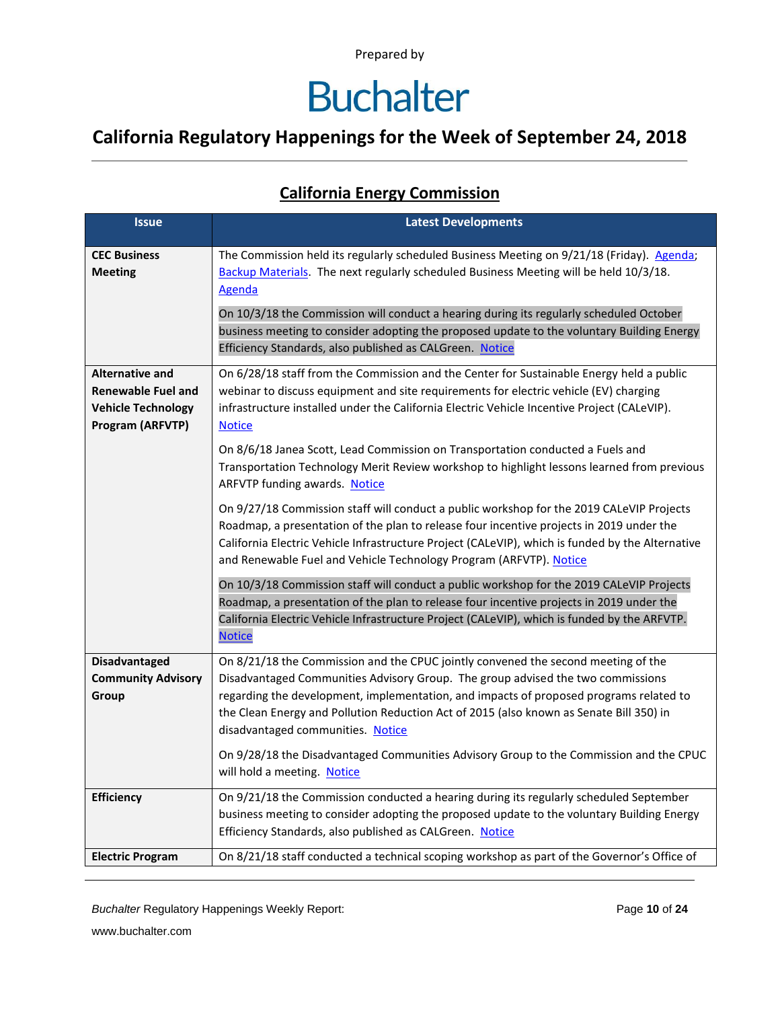### **Buchalter**

### **California Regulatory Happenings for the Week of September 24, 2018**

### **California Energy Commission**

| <b>Issue</b>                                                                                         | <b>Latest Developments</b>                                                                                                                                                                                                                                                                                                                                                                     |
|------------------------------------------------------------------------------------------------------|------------------------------------------------------------------------------------------------------------------------------------------------------------------------------------------------------------------------------------------------------------------------------------------------------------------------------------------------------------------------------------------------|
| <b>CEC Business</b><br><b>Meeting</b>                                                                | The Commission held its regularly scheduled Business Meeting on 9/21/18 (Friday). Agenda;<br>Backup Materials. The next regularly scheduled Business Meeting will be held 10/3/18.<br>Agenda                                                                                                                                                                                                   |
|                                                                                                      | On 10/3/18 the Commission will conduct a hearing during its regularly scheduled October<br>business meeting to consider adopting the proposed update to the voluntary Building Energy<br>Efficiency Standards, also published as CALGreen. Notice                                                                                                                                              |
| <b>Alternative and</b><br><b>Renewable Fuel and</b><br><b>Vehicle Technology</b><br>Program (ARFVTP) | On 6/28/18 staff from the Commission and the Center for Sustainable Energy held a public<br>webinar to discuss equipment and site requirements for electric vehicle (EV) charging<br>infrastructure installed under the California Electric Vehicle Incentive Project (CALeVIP).<br><b>Notice</b>                                                                                              |
|                                                                                                      | On 8/6/18 Janea Scott, Lead Commission on Transportation conducted a Fuels and<br>Transportation Technology Merit Review workshop to highlight lessons learned from previous<br>ARFVTP funding awards. Notice                                                                                                                                                                                  |
|                                                                                                      | On 9/27/18 Commission staff will conduct a public workshop for the 2019 CALeVIP Projects<br>Roadmap, a presentation of the plan to release four incentive projects in 2019 under the<br>California Electric Vehicle Infrastructure Project (CALeVIP), which is funded by the Alternative<br>and Renewable Fuel and Vehicle Technology Program (ARFVTP). Notice                                 |
|                                                                                                      | On 10/3/18 Commission staff will conduct a public workshop for the 2019 CALeVIP Projects<br>Roadmap, a presentation of the plan to release four incentive projects in 2019 under the<br>California Electric Vehicle Infrastructure Project (CALeVIP), which is funded by the ARFVTP.<br><b>Notice</b>                                                                                          |
| <b>Disadvantaged</b><br><b>Community Advisory</b><br>Group                                           | On 8/21/18 the Commission and the CPUC jointly convened the second meeting of the<br>Disadvantaged Communities Advisory Group. The group advised the two commissions<br>regarding the development, implementation, and impacts of proposed programs related to<br>the Clean Energy and Pollution Reduction Act of 2015 (also known as Senate Bill 350) in<br>disadvantaged communities. Notice |
|                                                                                                      | On 9/28/18 the Disadvantaged Communities Advisory Group to the Commission and the CPUC<br>will hold a meeting. Notice                                                                                                                                                                                                                                                                          |
| <b>Efficiency</b>                                                                                    | On 9/21/18 the Commission conducted a hearing during its regularly scheduled September<br>business meeting to consider adopting the proposed update to the voluntary Building Energy<br>Efficiency Standards, also published as CALGreen. Notice                                                                                                                                               |
| <b>Electric Program</b>                                                                              | On 8/21/18 staff conducted a technical scoping workshop as part of the Governor's Office of                                                                                                                                                                                                                                                                                                    |

*Buchalter* Regulatory Happenings Weekly Report: Page **10** of **24**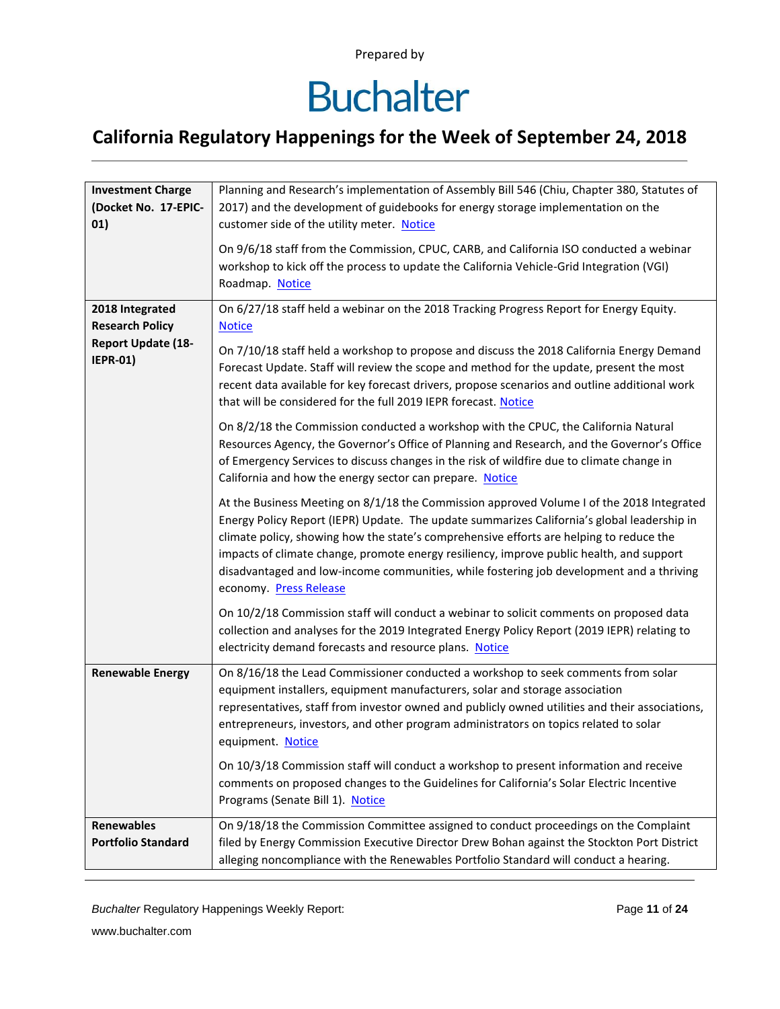# **Buchalter**

### **California Regulatory Happenings for the Week of September 24, 2018**

| <b>Investment Charge</b><br>(Docket No. 17-EPIC-<br>01)                | Planning and Research's implementation of Assembly Bill 546 (Chiu, Chapter 380, Statutes of<br>2017) and the development of guidebooks for energy storage implementation on the<br>customer side of the utility meter. Notice                                                                                                                                                                                                                                                                         |
|------------------------------------------------------------------------|-------------------------------------------------------------------------------------------------------------------------------------------------------------------------------------------------------------------------------------------------------------------------------------------------------------------------------------------------------------------------------------------------------------------------------------------------------------------------------------------------------|
|                                                                        | On 9/6/18 staff from the Commission, CPUC, CARB, and California ISO conducted a webinar<br>workshop to kick off the process to update the California Vehicle-Grid Integration (VGI)<br>Roadmap. Notice                                                                                                                                                                                                                                                                                                |
| 2018 Integrated<br><b>Research Policy</b><br><b>Report Update (18-</b> | On 6/27/18 staff held a webinar on the 2018 Tracking Progress Report for Energy Equity.<br><b>Notice</b>                                                                                                                                                                                                                                                                                                                                                                                              |
| <b>IEPR-01)</b>                                                        | On 7/10/18 staff held a workshop to propose and discuss the 2018 California Energy Demand<br>Forecast Update. Staff will review the scope and method for the update, present the most<br>recent data available for key forecast drivers, propose scenarios and outline additional work<br>that will be considered for the full 2019 IEPR forecast. Notice                                                                                                                                             |
|                                                                        | On 8/2/18 the Commission conducted a workshop with the CPUC, the California Natural<br>Resources Agency, the Governor's Office of Planning and Research, and the Governor's Office<br>of Emergency Services to discuss changes in the risk of wildfire due to climate change in<br>California and how the energy sector can prepare. Notice                                                                                                                                                           |
|                                                                        | At the Business Meeting on 8/1/18 the Commission approved Volume I of the 2018 Integrated<br>Energy Policy Report (IEPR) Update. The update summarizes California's global leadership in<br>climate policy, showing how the state's comprehensive efforts are helping to reduce the<br>impacts of climate change, promote energy resiliency, improve public health, and support<br>disadvantaged and low-income communities, while fostering job development and a thriving<br>economy. Press Release |
|                                                                        | On 10/2/18 Commission staff will conduct a webinar to solicit comments on proposed data<br>collection and analyses for the 2019 Integrated Energy Policy Report (2019 IEPR) relating to<br>electricity demand forecasts and resource plans. Notice                                                                                                                                                                                                                                                    |
| <b>Renewable Energy</b>                                                | On 8/16/18 the Lead Commissioner conducted a workshop to seek comments from solar<br>equipment installers, equipment manufacturers, solar and storage association<br>representatives, staff from investor owned and publicly owned utilities and their associations,<br>entrepreneurs, investors, and other program administrators on topics related to solar<br>equipment. Notice                                                                                                                    |
|                                                                        | On 10/3/18 Commission staff will conduct a workshop to present information and receive<br>comments on proposed changes to the Guidelines for California's Solar Electric Incentive<br>Programs (Senate Bill 1). Notice                                                                                                                                                                                                                                                                                |
| <b>Renewables</b><br><b>Portfolio Standard</b>                         | On 9/18/18 the Commission Committee assigned to conduct proceedings on the Complaint<br>filed by Energy Commission Executive Director Drew Bohan against the Stockton Port District<br>alleging noncompliance with the Renewables Portfolio Standard will conduct a hearing.                                                                                                                                                                                                                          |

*Buchalter* Regulatory Happenings Weekly Report: Page **11** of **24**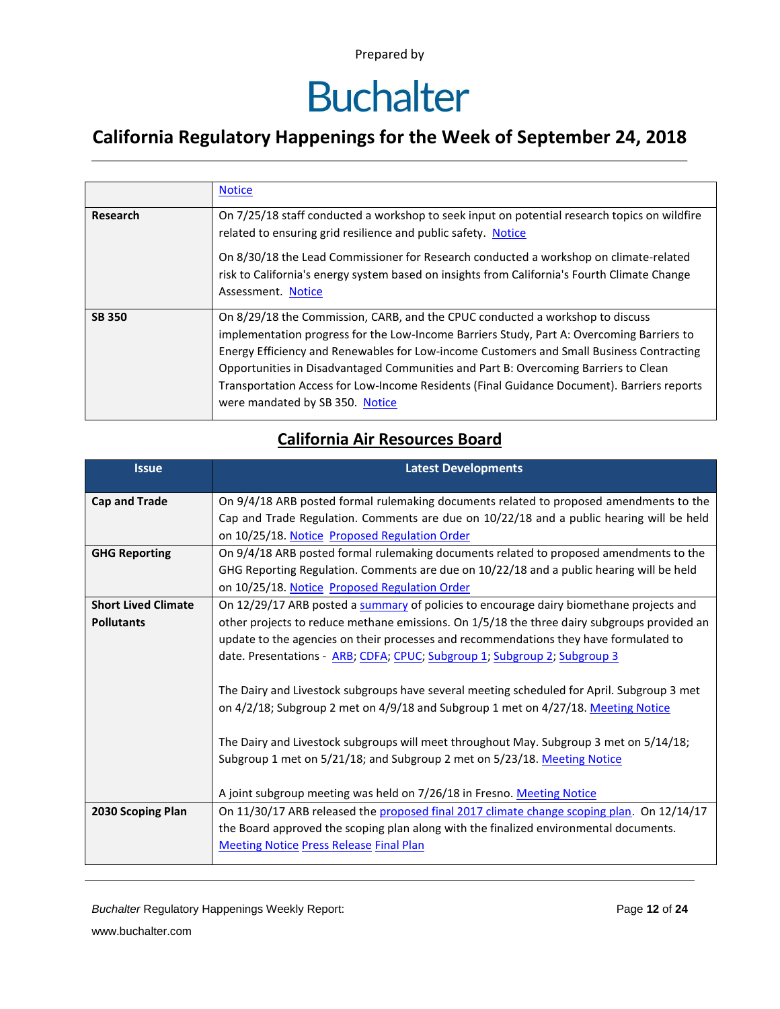# **Buchalter**

### **California Regulatory Happenings for the Week of September 24, 2018**

|               | <b>Notice</b>                                                                                                                                                                                                                                                                                                                                                                                                                                                                                  |
|---------------|------------------------------------------------------------------------------------------------------------------------------------------------------------------------------------------------------------------------------------------------------------------------------------------------------------------------------------------------------------------------------------------------------------------------------------------------------------------------------------------------|
| Research      | On 7/25/18 staff conducted a workshop to seek input on potential research topics on wildfire<br>related to ensuring grid resilience and public safety. Notice<br>On 8/30/18 the Lead Commissioner for Research conducted a workshop on climate-related<br>risk to California's energy system based on insights from California's Fourth Climate Change<br>Assessment. Notice                                                                                                                   |
| <b>SB 350</b> | On 8/29/18 the Commission, CARB, and the CPUC conducted a workshop to discuss<br>implementation progress for the Low-Income Barriers Study, Part A: Overcoming Barriers to<br>Energy Efficiency and Renewables for Low-income Customers and Small Business Contracting<br>Opportunities in Disadvantaged Communities and Part B: Overcoming Barriers to Clean<br>Transportation Access for Low-Income Residents (Final Guidance Document). Barriers reports<br>were mandated by SB 350. Notice |

#### **California Air Resources Board**

| <b>Issue</b>               | <b>Latest Developments</b>                                                                  |
|----------------------------|---------------------------------------------------------------------------------------------|
| <b>Cap and Trade</b>       | On 9/4/18 ARB posted formal rulemaking documents related to proposed amendments to the      |
|                            | Cap and Trade Regulation. Comments are due on 10/22/18 and a public hearing will be held    |
|                            | on 10/25/18. Notice Proposed Regulation Order                                               |
| <b>GHG Reporting</b>       | On 9/4/18 ARB posted formal rulemaking documents related to proposed amendments to the      |
|                            | GHG Reporting Regulation. Comments are due on 10/22/18 and a public hearing will be held    |
|                            | on 10/25/18. Notice Proposed Regulation Order                                               |
| <b>Short Lived Climate</b> | On 12/29/17 ARB posted a summary of policies to encourage dairy biomethane projects and     |
| <b>Pollutants</b>          | other projects to reduce methane emissions. On 1/5/18 the three dairy subgroups provided an |
|                            | update to the agencies on their processes and recommendations they have formulated to       |
|                            | date. Presentations - ARB; CDFA; CPUC; Subgroup 1; Subgroup 2; Subgroup 3                   |
|                            | The Dairy and Livestock subgroups have several meeting scheduled for April. Subgroup 3 met  |
|                            | on 4/2/18; Subgroup 2 met on 4/9/18 and Subgroup 1 met on 4/27/18. Meeting Notice           |
|                            | The Dairy and Livestock subgroups will meet throughout May. Subgroup 3 met on 5/14/18;      |
|                            | Subgroup 1 met on 5/21/18; and Subgroup 2 met on 5/23/18. Meeting Notice                    |
|                            | A joint subgroup meeting was held on 7/26/18 in Fresno. Meeting Notice                      |
| 2030 Scoping Plan          | On 11/30/17 ARB released the proposed final 2017 climate change scoping plan. On 12/14/17   |
|                            | the Board approved the scoping plan along with the finalized environmental documents.       |
|                            | <b>Meeting Notice Press Release Final Plan</b>                                              |

*Buchalter* Regulatory Happenings Weekly Report: Page **12** of **24**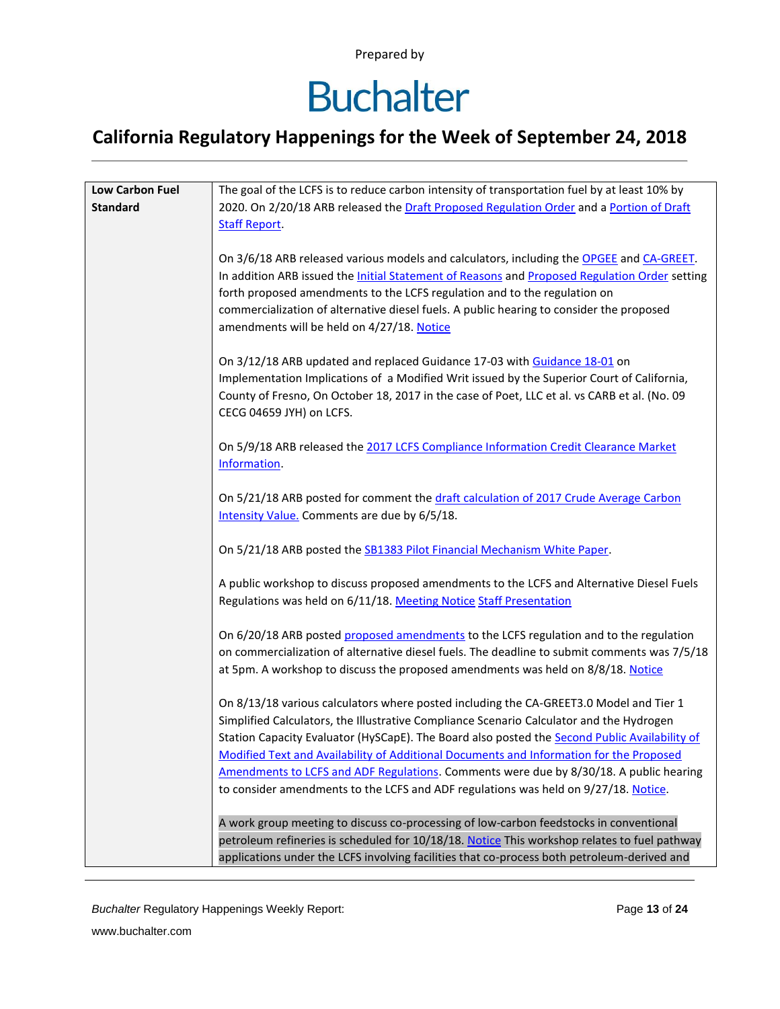### **Buchalter**

### **California Regulatory Happenings for the Week of September 24, 2018**

| Low Carbon Fuel | The goal of the LCFS is to reduce carbon intensity of transportation fuel by at least 10% by                                                                                      |
|-----------------|-----------------------------------------------------------------------------------------------------------------------------------------------------------------------------------|
| <b>Standard</b> | 2020. On 2/20/18 ARB released the Draft Proposed Regulation Order and a Portion of Draft                                                                                          |
|                 | <b>Staff Report.</b>                                                                                                                                                              |
|                 |                                                                                                                                                                                   |
|                 | On 3/6/18 ARB released various models and calculators, including the OPGEE and CA-GREET.                                                                                          |
|                 | In addition ARB issued the <i>Initial Statement of Reasons</i> and Proposed Regulation Order setting<br>forth proposed amendments to the LCFS regulation and to the regulation on |
|                 | commercialization of alternative diesel fuels. A public hearing to consider the proposed                                                                                          |
|                 | amendments will be held on 4/27/18. Notice                                                                                                                                        |
|                 |                                                                                                                                                                                   |
|                 | On 3/12/18 ARB updated and replaced Guidance 17-03 with Guidance 18-01 on                                                                                                         |
|                 | Implementation Implications of a Modified Writ issued by the Superior Court of California,                                                                                        |
|                 | County of Fresno, On October 18, 2017 in the case of Poet, LLC et al. vs CARB et al. (No. 09                                                                                      |
|                 | CECG 04659 JYH) on LCFS.                                                                                                                                                          |
|                 |                                                                                                                                                                                   |
|                 | On 5/9/18 ARB released the 2017 LCFS Compliance Information Credit Clearance Market                                                                                               |
|                 | Information.                                                                                                                                                                      |
|                 |                                                                                                                                                                                   |
|                 | On 5/21/18 ARB posted for comment the draft calculation of 2017 Crude Average Carbon                                                                                              |
|                 | Intensity Value. Comments are due by 6/5/18.                                                                                                                                      |
|                 |                                                                                                                                                                                   |
|                 | On 5/21/18 ARB posted the SB1383 Pilot Financial Mechanism White Paper.                                                                                                           |
|                 | A public workshop to discuss proposed amendments to the LCFS and Alternative Diesel Fuels                                                                                         |
|                 | Regulations was held on 6/11/18. Meeting Notice Staff Presentation                                                                                                                |
|                 |                                                                                                                                                                                   |
|                 | On 6/20/18 ARB posted proposed amendments to the LCFS regulation and to the regulation                                                                                            |
|                 | on commercialization of alternative diesel fuels. The deadline to submit comments was 7/5/18                                                                                      |
|                 | at 5pm. A workshop to discuss the proposed amendments was held on 8/8/18. Notice                                                                                                  |
|                 |                                                                                                                                                                                   |
|                 | On 8/13/18 various calculators where posted including the CA-GREET3.0 Model and Tier 1                                                                                            |
|                 | Simplified Calculators, the Illustrative Compliance Scenario Calculator and the Hydrogen                                                                                          |
|                 | Station Capacity Evaluator (HySCapE). The Board also posted the Second Public Availability of                                                                                     |
|                 | <b>Modified Text and Availability of Additional Documents and Information for the Proposed</b>                                                                                    |
|                 | Amendments to LCFS and ADF Regulations. Comments were due by 8/30/18. A public hearing                                                                                            |
|                 | to consider amendments to the LCFS and ADF regulations was held on 9/27/18. Notice.                                                                                               |
|                 |                                                                                                                                                                                   |
|                 | A work group meeting to discuss co-processing of low-carbon feedstocks in conventional                                                                                            |
|                 | petroleum refineries is scheduled for 10/18/18. Notice This workshop relates to fuel pathway                                                                                      |
|                 | applications under the LCFS involving facilities that co-process both petroleum-derived and                                                                                       |

*Buchalter* Regulatory Happenings Weekly Report: Page **13** of **24**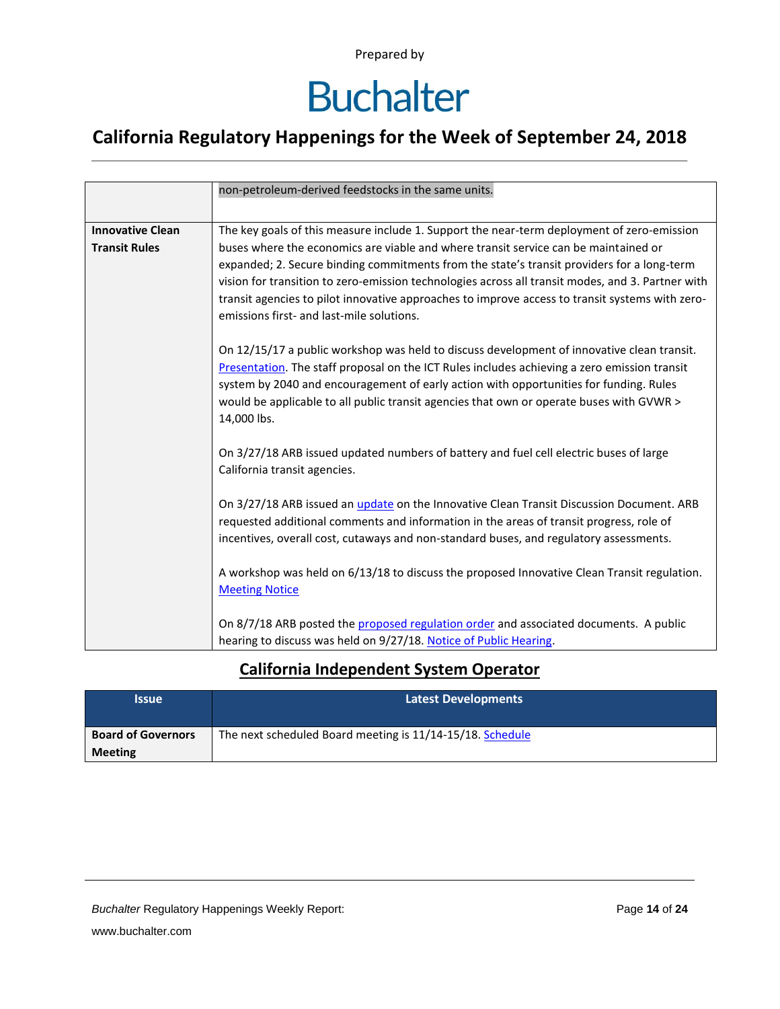# **Buchalter**

### **California Regulatory Happenings for the Week of September 24, 2018**

|                                                 | non-petroleum-derived feedstocks in the same units.                                                                                                                                                                                                                                                                                                                                                                                    |
|-------------------------------------------------|----------------------------------------------------------------------------------------------------------------------------------------------------------------------------------------------------------------------------------------------------------------------------------------------------------------------------------------------------------------------------------------------------------------------------------------|
|                                                 |                                                                                                                                                                                                                                                                                                                                                                                                                                        |
| <b>Innovative Clean</b><br><b>Transit Rules</b> | The key goals of this measure include 1. Support the near-term deployment of zero-emission                                                                                                                                                                                                                                                                                                                                             |
|                                                 | buses where the economics are viable and where transit service can be maintained or<br>expanded; 2. Secure binding commitments from the state's transit providers for a long-term<br>vision for transition to zero-emission technologies across all transit modes, and 3. Partner with<br>transit agencies to pilot innovative approaches to improve access to transit systems with zero-<br>emissions first- and last-mile solutions. |
|                                                 | On 12/15/17 a public workshop was held to discuss development of innovative clean transit.<br>Presentation. The staff proposal on the ICT Rules includes achieving a zero emission transit<br>system by 2040 and encouragement of early action with opportunities for funding. Rules<br>would be applicable to all public transit agencies that own or operate buses with GVWR ><br>14,000 lbs.                                        |
|                                                 | On 3/27/18 ARB issued updated numbers of battery and fuel cell electric buses of large<br>California transit agencies.                                                                                                                                                                                                                                                                                                                 |
|                                                 | On 3/27/18 ARB issued an <i>update</i> on the Innovative Clean Transit Discussion Document. ARB<br>requested additional comments and information in the areas of transit progress, role of<br>incentives, overall cost, cutaways and non-standard buses, and regulatory assessments.                                                                                                                                                   |
|                                                 | A workshop was held on 6/13/18 to discuss the proposed Innovative Clean Transit regulation.<br><b>Meeting Notice</b>                                                                                                                                                                                                                                                                                                                   |
|                                                 | On 8/7/18 ARB posted the proposed regulation order and associated documents. A public<br>hearing to discuss was held on 9/27/18. Notice of Public Hearing.                                                                                                                                                                                                                                                                             |

#### **California Independent System Operator**

| <b>Issue</b>              | <b>Latest Developments</b>                                |
|---------------------------|-----------------------------------------------------------|
| <b>Board of Governors</b> | The next scheduled Board meeting is 11/14-15/18. Schedule |
| <b>Meeting</b>            |                                                           |

**Buchalter Regulatory Happenings Weekly Report:** Page 14 of 24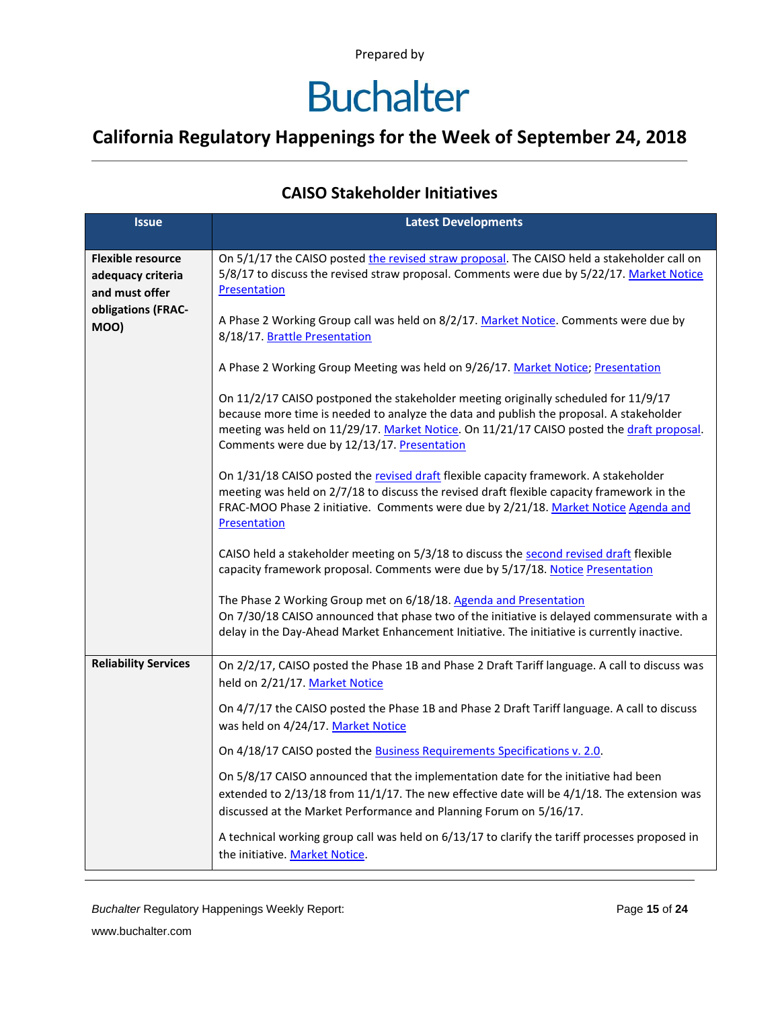## **Buchalter**

### **California Regulatory Happenings for the Week of September 24, 2018**

#### **CAISO Stakeholder Initiatives**

| <b>Issue</b>                                                    | <b>Latest Developments</b>                                                                                                                                                                                                                                                                                                 |
|-----------------------------------------------------------------|----------------------------------------------------------------------------------------------------------------------------------------------------------------------------------------------------------------------------------------------------------------------------------------------------------------------------|
| <b>Flexible resource</b><br>adequacy criteria<br>and must offer | On 5/1/17 the CAISO posted the revised straw proposal. The CAISO held a stakeholder call on<br>5/8/17 to discuss the revised straw proposal. Comments were due by 5/22/17. Market Notice<br>Presentation                                                                                                                   |
| obligations (FRAC-<br>MOO)                                      | A Phase 2 Working Group call was held on 8/2/17. Market Notice. Comments were due by<br>8/18/17. Brattle Presentation                                                                                                                                                                                                      |
|                                                                 | A Phase 2 Working Group Meeting was held on 9/26/17. Market Notice; Presentation                                                                                                                                                                                                                                           |
|                                                                 | On 11/2/17 CAISO postponed the stakeholder meeting originally scheduled for 11/9/17<br>because more time is needed to analyze the data and publish the proposal. A stakeholder<br>meeting was held on 11/29/17. Market Notice. On 11/21/17 CAISO posted the draft proposal.<br>Comments were due by 12/13/17. Presentation |
|                                                                 | On 1/31/18 CAISO posted the revised draft flexible capacity framework. A stakeholder<br>meeting was held on 2/7/18 to discuss the revised draft flexible capacity framework in the<br>FRAC-MOO Phase 2 initiative. Comments were due by 2/21/18. Market Notice Agenda and<br><b>Presentation</b>                           |
|                                                                 | CAISO held a stakeholder meeting on 5/3/18 to discuss the second revised draft flexible<br>capacity framework proposal. Comments were due by 5/17/18. Notice Presentation                                                                                                                                                  |
|                                                                 | The Phase 2 Working Group met on 6/18/18. Agenda and Presentation<br>On 7/30/18 CAISO announced that phase two of the initiative is delayed commensurate with a<br>delay in the Day-Ahead Market Enhancement Initiative. The initiative is currently inactive.                                                             |
| <b>Reliability Services</b>                                     | On 2/2/17, CAISO posted the Phase 1B and Phase 2 Draft Tariff language. A call to discuss was<br>held on 2/21/17. Market Notice                                                                                                                                                                                            |
|                                                                 | On 4/7/17 the CAISO posted the Phase 1B and Phase 2 Draft Tariff language. A call to discuss<br>was held on 4/24/17. Market Notice                                                                                                                                                                                         |
|                                                                 | On 4/18/17 CAISO posted the Business Requirements Specifications v. 2.0.                                                                                                                                                                                                                                                   |
|                                                                 | On 5/8/17 CAISO announced that the implementation date for the initiative had been<br>extended to $2/13/18$ from $11/1/17$ . The new effective date will be $4/1/18$ . The extension was<br>discussed at the Market Performance and Planning Forum on 5/16/17.                                                             |
|                                                                 | A technical working group call was held on 6/13/17 to clarify the tariff processes proposed in<br>the initiative. Market Notice.                                                                                                                                                                                           |

*Buchalter* Regulatory Happenings Weekly Report: Page **15** of **24**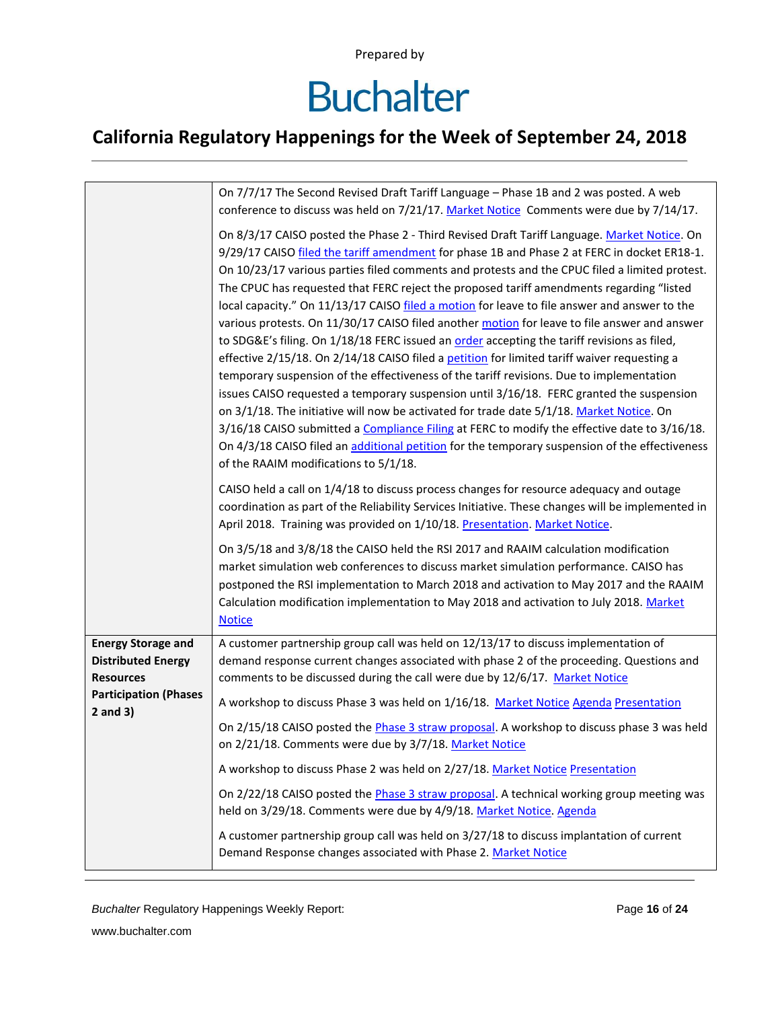## **Buchalter**

### **California Regulatory Happenings for the Week of September 24, 2018**

|                                                                            | On 7/7/17 The Second Revised Draft Tariff Language - Phase 1B and 2 was posted. A web<br>conference to discuss was held on 7/21/17. Market Notice Comments were due by 7/14/17.                                                                                                                                                                                                                                                                                                                                                                                                                                                                                                                                                                                                                                                                                                                                                                                                                                                                                                                                                                                                                                                                                                                                      |
|----------------------------------------------------------------------------|----------------------------------------------------------------------------------------------------------------------------------------------------------------------------------------------------------------------------------------------------------------------------------------------------------------------------------------------------------------------------------------------------------------------------------------------------------------------------------------------------------------------------------------------------------------------------------------------------------------------------------------------------------------------------------------------------------------------------------------------------------------------------------------------------------------------------------------------------------------------------------------------------------------------------------------------------------------------------------------------------------------------------------------------------------------------------------------------------------------------------------------------------------------------------------------------------------------------------------------------------------------------------------------------------------------------|
|                                                                            | On 8/3/17 CAISO posted the Phase 2 - Third Revised Draft Tariff Language. Market Notice. On<br>9/29/17 CAISO filed the tariff amendment for phase 1B and Phase 2 at FERC in docket ER18-1.<br>On 10/23/17 various parties filed comments and protests and the CPUC filed a limited protest.<br>The CPUC has requested that FERC reject the proposed tariff amendments regarding "listed<br>local capacity." On 11/13/17 CAISO filed a motion for leave to file answer and answer to the<br>various protests. On 11/30/17 CAISO filed another motion for leave to file answer and answer<br>to SDG&E's filing. On 1/18/18 FERC issued an order accepting the tariff revisions as filed,<br>effective 2/15/18. On 2/14/18 CAISO filed a petition for limited tariff waiver requesting a<br>temporary suspension of the effectiveness of the tariff revisions. Due to implementation<br>issues CAISO requested a temporary suspension until 3/16/18. FERC granted the suspension<br>on 3/1/18. The initiative will now be activated for trade date 5/1/18. Market Notice. On<br>3/16/18 CAISO submitted a Compliance Filing at FERC to modify the effective date to 3/16/18.<br>On 4/3/18 CAISO filed an additional petition for the temporary suspension of the effectiveness<br>of the RAAIM modifications to 5/1/18. |
|                                                                            | CAISO held a call on 1/4/18 to discuss process changes for resource adequacy and outage<br>coordination as part of the Reliability Services Initiative. These changes will be implemented in<br>April 2018. Training was provided on 1/10/18. Presentation. Market Notice.                                                                                                                                                                                                                                                                                                                                                                                                                                                                                                                                                                                                                                                                                                                                                                                                                                                                                                                                                                                                                                           |
|                                                                            | On 3/5/18 and 3/8/18 the CAISO held the RSI 2017 and RAAIM calculation modification<br>market simulation web conferences to discuss market simulation performance. CAISO has<br>postponed the RSI implementation to March 2018 and activation to May 2017 and the RAAIM<br>Calculation modification implementation to May 2018 and activation to July 2018. Market<br><b>Notice</b>                                                                                                                                                                                                                                                                                                                                                                                                                                                                                                                                                                                                                                                                                                                                                                                                                                                                                                                                  |
| <b>Energy Storage and</b><br><b>Distributed Energy</b><br><b>Resources</b> | A customer partnership group call was held on 12/13/17 to discuss implementation of<br>demand response current changes associated with phase 2 of the proceeding. Questions and<br>comments to be discussed during the call were due by 12/6/17. Market Notice                                                                                                                                                                                                                                                                                                                                                                                                                                                                                                                                                                                                                                                                                                                                                                                                                                                                                                                                                                                                                                                       |
| <b>Participation (Phases</b><br>$2$ and $3)$                               | A workshop to discuss Phase 3 was held on 1/16/18. Market Notice Agenda Presentation                                                                                                                                                                                                                                                                                                                                                                                                                                                                                                                                                                                                                                                                                                                                                                                                                                                                                                                                                                                                                                                                                                                                                                                                                                 |
|                                                                            | On 2/15/18 CAISO posted the Phase 3 straw proposal. A workshop to discuss phase 3 was held<br>on 2/21/18. Comments were due by 3/7/18. Market Notice                                                                                                                                                                                                                                                                                                                                                                                                                                                                                                                                                                                                                                                                                                                                                                                                                                                                                                                                                                                                                                                                                                                                                                 |
|                                                                            | A workshop to discuss Phase 2 was held on 2/27/18. Market Notice Presentation                                                                                                                                                                                                                                                                                                                                                                                                                                                                                                                                                                                                                                                                                                                                                                                                                                                                                                                                                                                                                                                                                                                                                                                                                                        |
|                                                                            | On 2/22/18 CAISO posted the Phase 3 straw proposal. A technical working group meeting was<br>held on 3/29/18. Comments were due by 4/9/18. Market Notice. Agenda                                                                                                                                                                                                                                                                                                                                                                                                                                                                                                                                                                                                                                                                                                                                                                                                                                                                                                                                                                                                                                                                                                                                                     |
|                                                                            | A customer partnership group call was held on 3/27/18 to discuss implantation of current<br>Demand Response changes associated with Phase 2. Market Notice                                                                                                                                                                                                                                                                                                                                                                                                                                                                                                                                                                                                                                                                                                                                                                                                                                                                                                                                                                                                                                                                                                                                                           |

*Buchalter* Regulatory Happenings Weekly Report: Page **16** of **24**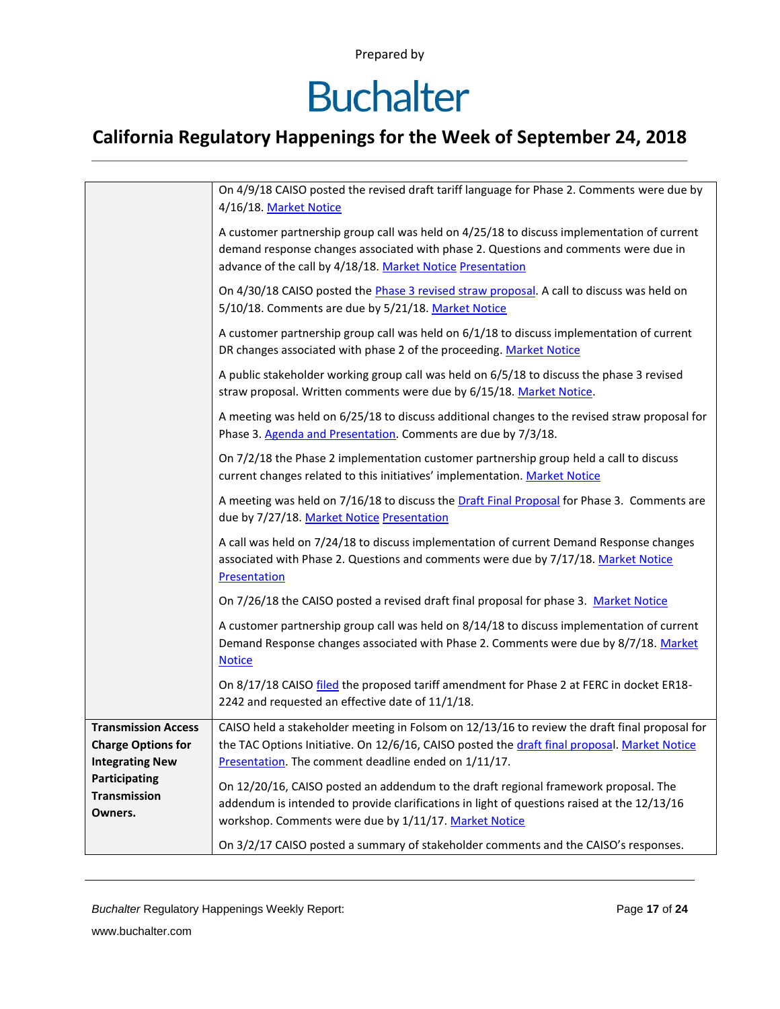# **Buchalter**

### **California Regulatory Happenings for the Week of September 24, 2018**

|                                                                                   | On 4/9/18 CAISO posted the revised draft tariff language for Phase 2. Comments were due by<br>4/16/18. Market Notice                                                                                                                                  |
|-----------------------------------------------------------------------------------|-------------------------------------------------------------------------------------------------------------------------------------------------------------------------------------------------------------------------------------------------------|
|                                                                                   | A customer partnership group call was held on 4/25/18 to discuss implementation of current<br>demand response changes associated with phase 2. Questions and comments were due in<br>advance of the call by 4/18/18. Market Notice Presentation       |
|                                                                                   | On 4/30/18 CAISO posted the Phase 3 revised straw proposal. A call to discuss was held on<br>5/10/18. Comments are due by 5/21/18. Market Notice                                                                                                      |
|                                                                                   | A customer partnership group call was held on 6/1/18 to discuss implementation of current<br>DR changes associated with phase 2 of the proceeding. Market Notice                                                                                      |
|                                                                                   | A public stakeholder working group call was held on 6/5/18 to discuss the phase 3 revised<br>straw proposal. Written comments were due by 6/15/18. Market Notice.                                                                                     |
|                                                                                   | A meeting was held on 6/25/18 to discuss additional changes to the revised straw proposal for<br>Phase 3. Agenda and Presentation. Comments are due by 7/3/18.                                                                                        |
|                                                                                   | On 7/2/18 the Phase 2 implementation customer partnership group held a call to discuss<br>current changes related to this initiatives' implementation. Market Notice                                                                                  |
|                                                                                   | A meeting was held on 7/16/18 to discuss the Draft Final Proposal for Phase 3. Comments are<br>due by 7/27/18. Market Notice Presentation                                                                                                             |
|                                                                                   | A call was held on 7/24/18 to discuss implementation of current Demand Response changes<br>associated with Phase 2. Questions and comments were due by 7/17/18. Market Notice<br>Presentation                                                         |
|                                                                                   | On 7/26/18 the CAISO posted a revised draft final proposal for phase 3. Market Notice                                                                                                                                                                 |
|                                                                                   | A customer partnership group call was held on 8/14/18 to discuss implementation of current<br>Demand Response changes associated with Phase 2. Comments were due by 8/7/18. Market<br><b>Notice</b>                                                   |
|                                                                                   | On 8/17/18 CAISO filed the proposed tariff amendment for Phase 2 at FERC in docket ER18-<br>2242 and requested an effective date of 11/1/18.                                                                                                          |
| <b>Transmission Access</b><br><b>Charge Options for</b><br><b>Integrating New</b> | CAISO held a stakeholder meeting in Folsom on 12/13/16 to review the draft final proposal for<br>the TAC Options Initiative. On 12/6/16, CAISO posted the draft final proposal. Market Notice<br>Presentation. The comment deadline ended on 1/11/17. |
| Participating<br><b>Transmission</b><br>Owners.                                   | On 12/20/16, CAISO posted an addendum to the draft regional framework proposal. The<br>addendum is intended to provide clarifications in light of questions raised at the 12/13/16<br>workshop. Comments were due by 1/11/17. Market Notice           |
|                                                                                   | On 3/2/17 CAISO posted a summary of stakeholder comments and the CAISO's responses.                                                                                                                                                                   |

*Buchalter* Regulatory Happenings Weekly Report: Page **17** of **24**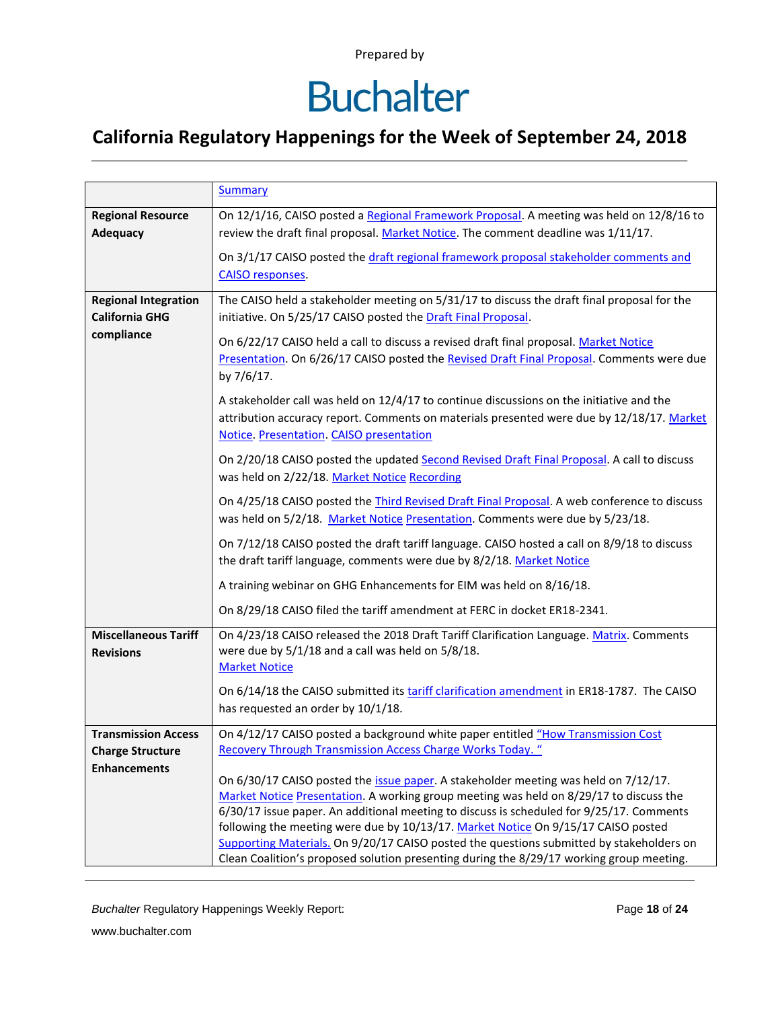# **Buchalter**

### **California Regulatory Happenings for the Week of September 24, 2018**

|                                                      | <b>Summary</b>                                                                                                                                                                                                                  |
|------------------------------------------------------|---------------------------------------------------------------------------------------------------------------------------------------------------------------------------------------------------------------------------------|
| <b>Regional Resource</b><br><b>Adequacy</b>          | On 12/1/16, CAISO posted a Regional Framework Proposal. A meeting was held on 12/8/16 to<br>review the draft final proposal. Market Notice. The comment deadline was 1/11/17.                                                   |
|                                                      | On 3/1/17 CAISO posted the draft regional framework proposal stakeholder comments and<br><b>CAISO responses</b> .                                                                                                               |
| <b>Regional Integration</b><br><b>California GHG</b> | The CAISO held a stakeholder meeting on 5/31/17 to discuss the draft final proposal for the<br>initiative. On 5/25/17 CAISO posted the Draft Final Proposal.                                                                    |
| compliance                                           | On 6/22/17 CAISO held a call to discuss a revised draft final proposal. Market Notice<br>Presentation. On 6/26/17 CAISO posted the Revised Draft Final Proposal. Comments were due<br>by 7/6/17.                                |
|                                                      | A stakeholder call was held on 12/4/17 to continue discussions on the initiative and the<br>attribution accuracy report. Comments on materials presented were due by 12/18/17. Market<br>Notice Presentation CAISO presentation |
|                                                      | On 2/20/18 CAISO posted the updated Second Revised Draft Final Proposal. A call to discuss<br>was held on 2/22/18. Market Notice Recording                                                                                      |
|                                                      | On 4/25/18 CAISO posted the <i>Third Revised Draft Final Proposal</i> . A web conference to discuss<br>was held on 5/2/18. Market Notice Presentation. Comments were due by 5/23/18.                                            |
|                                                      | On 7/12/18 CAISO posted the draft tariff language. CAISO hosted a call on 8/9/18 to discuss<br>the draft tariff language, comments were due by 8/2/18. Market Notice                                                            |
|                                                      | A training webinar on GHG Enhancements for EIM was held on 8/16/18.                                                                                                                                                             |
|                                                      | On 8/29/18 CAISO filed the tariff amendment at FERC in docket ER18-2341.                                                                                                                                                        |
| <b>Miscellaneous Tariff</b><br><b>Revisions</b>      | On 4/23/18 CAISO released the 2018 Draft Tariff Clarification Language. Matrix. Comments<br>were due by 5/1/18 and a call was held on 5/8/18.<br><b>Market Notice</b>                                                           |
|                                                      | On 6/14/18 the CAISO submitted its tariff clarification amendment in ER18-1787. The CAISO<br>has requested an order by 10/1/18.                                                                                                 |
| <b>Transmission Access</b>                           | On 4/12/17 CAISO posted a background white paper entitled "How Transmission Cost                                                                                                                                                |
| <b>Charge Structure</b><br><b>Enhancements</b>       | Recovery Through Transmission Access Charge Works Today. "                                                                                                                                                                      |
|                                                      | On 6/30/17 CAISO posted the issue paper. A stakeholder meeting was held on 7/12/17.                                                                                                                                             |
|                                                      | Market Notice Presentation. A working group meeting was held on 8/29/17 to discuss the<br>6/30/17 issue paper. An additional meeting to discuss is scheduled for 9/25/17. Comments                                              |
|                                                      | following the meeting were due by 10/13/17. Market Notice On 9/15/17 CAISO posted                                                                                                                                               |
|                                                      | Supporting Materials. On 9/20/17 CAISO posted the questions submitted by stakeholders on<br>Clean Coalition's proposed solution presenting during the 8/29/17 working group meeting.                                            |

*Buchalter* Regulatory Happenings Weekly Report: Page **18** of **24**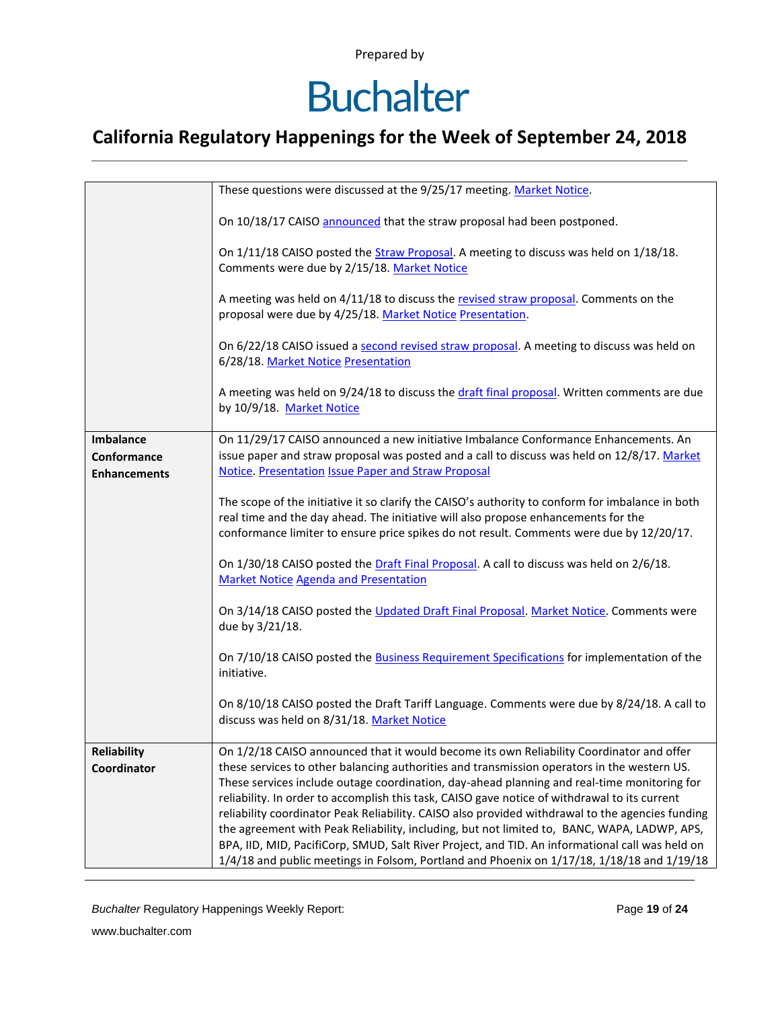### **Buchalter**

### **California Regulatory Happenings for the Week of September 24, 2018**

|                     | These questions were discussed at the 9/25/17 meeting. Market Notice.                                                                                                                                                                                                              |
|---------------------|------------------------------------------------------------------------------------------------------------------------------------------------------------------------------------------------------------------------------------------------------------------------------------|
|                     | On 10/18/17 CAISO announced that the straw proposal had been postponed.                                                                                                                                                                                                            |
|                     | On 1/11/18 CAISO posted the Straw Proposal. A meeting to discuss was held on 1/18/18.<br>Comments were due by 2/15/18. Market Notice                                                                                                                                               |
|                     | A meeting was held on 4/11/18 to discuss the revised straw proposal. Comments on the<br>proposal were due by 4/25/18. Market Notice Presentation.                                                                                                                                  |
|                     | On 6/22/18 CAISO issued a second revised straw proposal. A meeting to discuss was held on<br>6/28/18. Market Notice Presentation                                                                                                                                                   |
|                     | A meeting was held on 9/24/18 to discuss the draft final proposal. Written comments are due<br>by 10/9/18. Market Notice                                                                                                                                                           |
| <b>Imbalance</b>    | On 11/29/17 CAISO announced a new initiative Imbalance Conformance Enhancements. An                                                                                                                                                                                                |
| Conformance         | issue paper and straw proposal was posted and a call to discuss was held on 12/8/17. Market                                                                                                                                                                                        |
| <b>Enhancements</b> | <b>Notice. Presentation Issue Paper and Straw Proposal</b>                                                                                                                                                                                                                         |
|                     |                                                                                                                                                                                                                                                                                    |
|                     | The scope of the initiative it so clarify the CAISO's authority to conform for imbalance in both<br>real time and the day ahead. The initiative will also propose enhancements for the<br>conformance limiter to ensure price spikes do not result. Comments were due by 12/20/17. |
|                     | On 1/30/18 CAISO posted the Draft Final Proposal. A call to discuss was held on 2/6/18.<br><b>Market Notice Agenda and Presentation</b>                                                                                                                                            |
|                     | On 3/14/18 CAISO posted the Updated Draft Final Proposal. Market Notice. Comments were<br>due by 3/21/18.                                                                                                                                                                          |
|                     | On 7/10/18 CAISO posted the Business Requirement Specifications for implementation of the<br>initiative.                                                                                                                                                                           |
|                     | On 8/10/18 CAISO posted the Draft Tariff Language. Comments were due by 8/24/18. A call to<br>discuss was held on 8/31/18. Market Notice                                                                                                                                           |
| <b>Reliability</b>  | On 1/2/18 CAISO announced that it would become its own Reliability Coordinator and offer                                                                                                                                                                                           |
| Coordinator         | these services to other balancing authorities and transmission operators in the western US.                                                                                                                                                                                        |
|                     | These services include outage coordination, day-ahead planning and real-time monitoring for                                                                                                                                                                                        |
|                     | reliability. In order to accomplish this task, CAISO gave notice of withdrawal to its current                                                                                                                                                                                      |
|                     | reliability coordinator Peak Reliability. CAISO also provided withdrawal to the agencies funding                                                                                                                                                                                   |
|                     | the agreement with Peak Reliability, including, but not limited to, BANC, WAPA, LADWP, APS,                                                                                                                                                                                        |
|                     | BPA, IID, MID, PacifiCorp, SMUD, Salt River Project, and TID. An informational call was held on                                                                                                                                                                                    |
|                     | $1/4/18$ and public meetings in Folsom, Portland and Phoenix on $1/17/18$ , $1/18/18$ and $1/19/18$                                                                                                                                                                                |

*Buchalter* Regulatory Happenings Weekly Report: Page **19** of **24**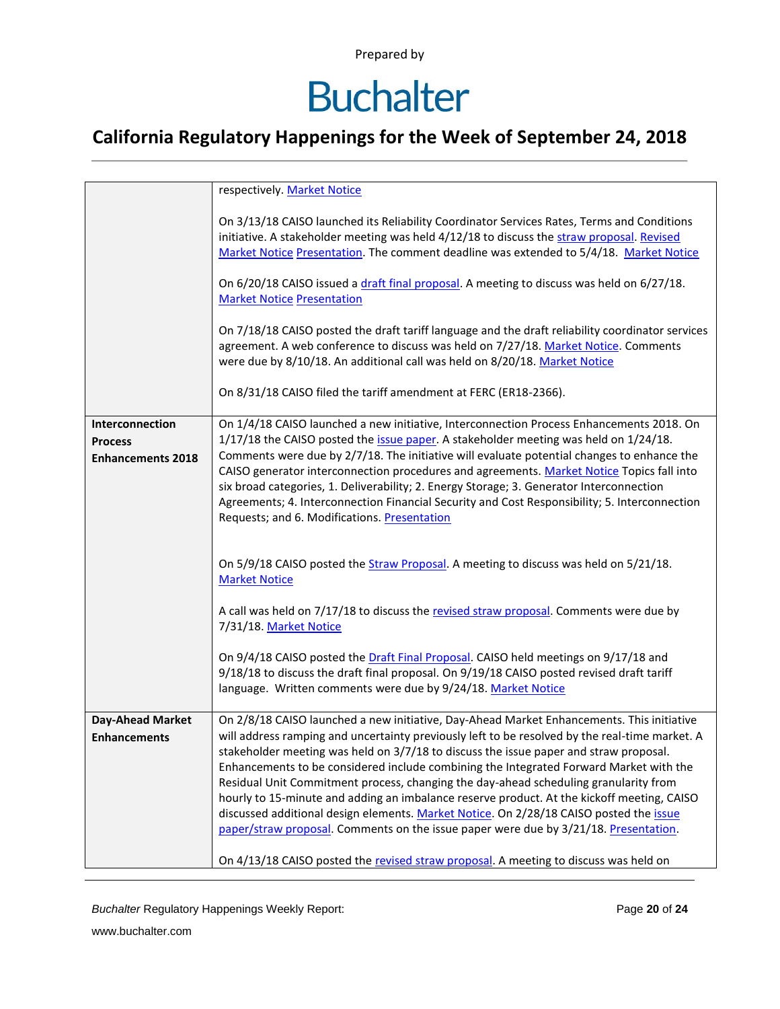# **Buchalter**

### **California Regulatory Happenings for the Week of September 24, 2018**

|                                                               | respectively. Market Notice                                                                                                                                                                                                                                                                                                                                                                                                                                                                                                                                                                                                                                                                                                                            |
|---------------------------------------------------------------|--------------------------------------------------------------------------------------------------------------------------------------------------------------------------------------------------------------------------------------------------------------------------------------------------------------------------------------------------------------------------------------------------------------------------------------------------------------------------------------------------------------------------------------------------------------------------------------------------------------------------------------------------------------------------------------------------------------------------------------------------------|
|                                                               | On 3/13/18 CAISO launched its Reliability Coordinator Services Rates, Terms and Conditions<br>initiative. A stakeholder meeting was held 4/12/18 to discuss the straw proposal. Revised<br>Market Notice Presentation. The comment deadline was extended to 5/4/18. Market Notice                                                                                                                                                                                                                                                                                                                                                                                                                                                                      |
|                                                               | On 6/20/18 CAISO issued a draft final proposal. A meeting to discuss was held on 6/27/18.<br><b>Market Notice Presentation</b>                                                                                                                                                                                                                                                                                                                                                                                                                                                                                                                                                                                                                         |
|                                                               | On 7/18/18 CAISO posted the draft tariff language and the draft reliability coordinator services<br>agreement. A web conference to discuss was held on 7/27/18. Market Notice. Comments<br>were due by 8/10/18. An additional call was held on 8/20/18. Market Notice                                                                                                                                                                                                                                                                                                                                                                                                                                                                                  |
|                                                               | On 8/31/18 CAISO filed the tariff amendment at FERC (ER18-2366).                                                                                                                                                                                                                                                                                                                                                                                                                                                                                                                                                                                                                                                                                       |
| Interconnection<br><b>Process</b><br><b>Enhancements 2018</b> | On 1/4/18 CAISO launched a new initiative, Interconnection Process Enhancements 2018. On<br>1/17/18 the CAISO posted the issue paper. A stakeholder meeting was held on 1/24/18.<br>Comments were due by 2/7/18. The initiative will evaluate potential changes to enhance the<br>CAISO generator interconnection procedures and agreements. Market Notice Topics fall into<br>six broad categories, 1. Deliverability; 2. Energy Storage; 3. Generator Interconnection<br>Agreements; 4. Interconnection Financial Security and Cost Responsibility; 5. Interconnection<br>Requests; and 6. Modifications. Presentation                                                                                                                               |
|                                                               | On 5/9/18 CAISO posted the Straw Proposal. A meeting to discuss was held on 5/21/18.<br><b>Market Notice</b>                                                                                                                                                                                                                                                                                                                                                                                                                                                                                                                                                                                                                                           |
|                                                               | A call was held on 7/17/18 to discuss the revised straw proposal. Comments were due by<br>7/31/18. Market Notice                                                                                                                                                                                                                                                                                                                                                                                                                                                                                                                                                                                                                                       |
|                                                               | On 9/4/18 CAISO posted the Draft Final Proposal. CAISO held meetings on 9/17/18 and<br>9/18/18 to discuss the draft final proposal. On 9/19/18 CAISO posted revised draft tariff<br>language. Written comments were due by 9/24/18. Market Notice                                                                                                                                                                                                                                                                                                                                                                                                                                                                                                      |
| Day-Ahead Market<br><b>Enhancements</b>                       | On 2/8/18 CAISO launched a new initiative, Day-Ahead Market Enhancements. This initiative<br>will address ramping and uncertainty previously left to be resolved by the real-time market. A<br>stakeholder meeting was held on 3/7/18 to discuss the issue paper and straw proposal.<br>Enhancements to be considered include combining the Integrated Forward Market with the<br>Residual Unit Commitment process, changing the day-ahead scheduling granularity from<br>hourly to 15-minute and adding an imbalance reserve product. At the kickoff meeting, CAISO<br>discussed additional design elements. Market Notice. On 2/28/18 CAISO posted the issue<br>paper/straw proposal. Comments on the issue paper were due by 3/21/18. Presentation. |
|                                                               | On 4/13/18 CAISO posted the revised straw proposal. A meeting to discuss was held on                                                                                                                                                                                                                                                                                                                                                                                                                                                                                                                                                                                                                                                                   |

*Buchalter* Regulatory Happenings Weekly Report: Page **20** of **24**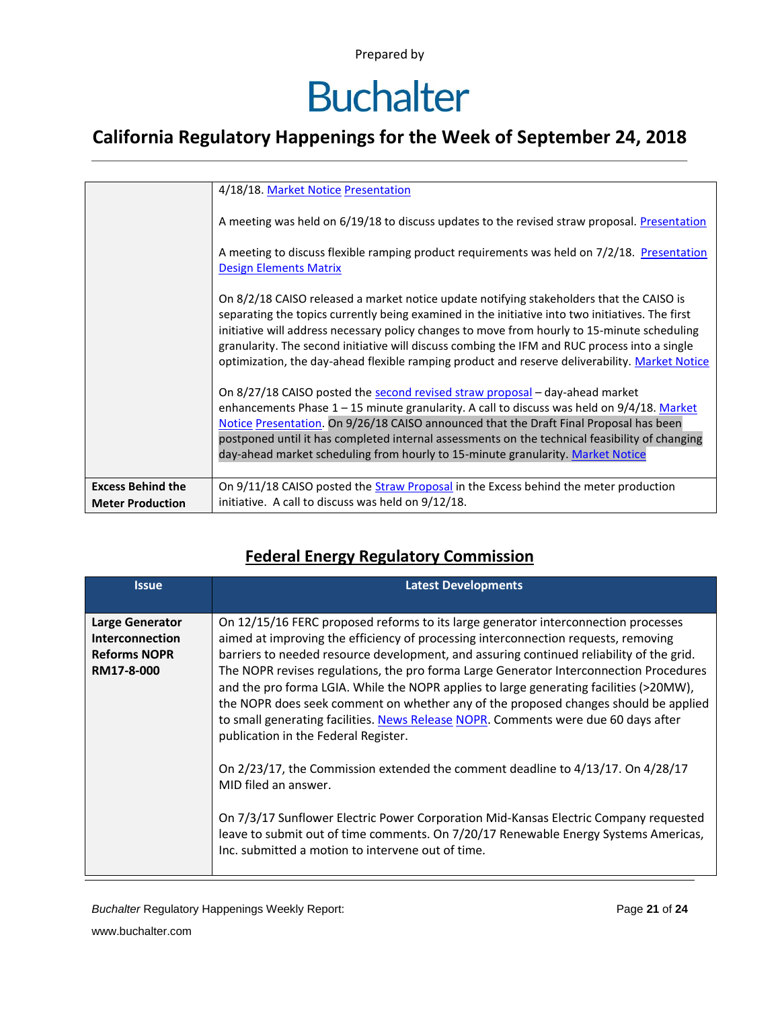### **Buchalter**

### **California Regulatory Happenings for the Week of September 24, 2018**

|                          | 4/18/18. Market Notice Presentation                                                                                                                                                                                                                                                                                                                                                                                                                                                             |
|--------------------------|-------------------------------------------------------------------------------------------------------------------------------------------------------------------------------------------------------------------------------------------------------------------------------------------------------------------------------------------------------------------------------------------------------------------------------------------------------------------------------------------------|
|                          | A meeting was held on 6/19/18 to discuss updates to the revised straw proposal. Presentation                                                                                                                                                                                                                                                                                                                                                                                                    |
|                          | A meeting to discuss flexible ramping product requirements was held on 7/2/18. Presentation<br><b>Design Elements Matrix</b>                                                                                                                                                                                                                                                                                                                                                                    |
|                          | On 8/2/18 CAISO released a market notice update notifying stakeholders that the CAISO is<br>separating the topics currently being examined in the initiative into two initiatives. The first<br>initiative will address necessary policy changes to move from hourly to 15-minute scheduling<br>granularity. The second initiative will discuss combing the IFM and RUC process into a single<br>optimization, the day-ahead flexible ramping product and reserve deliverability. Market Notice |
|                          | On 8/27/18 CAISO posted the second revised straw proposal - day-ahead market<br>enhancements Phase $1 - 15$ minute granularity. A call to discuss was held on $9/4/18$ . Market<br>Notice Presentation. On 9/26/18 CAISO announced that the Draft Final Proposal has been<br>postponed until it has completed internal assessments on the technical feasibility of changing<br>day-ahead market scheduling from hourly to 15-minute granularity. Market Notice                                  |
| <b>Excess Behind the</b> | On 9/11/18 CAISO posted the Straw Proposal in the Excess behind the meter production                                                                                                                                                                                                                                                                                                                                                                                                            |
| <b>Meter Production</b>  | initiative. A call to discuss was held on 9/12/18.                                                                                                                                                                                                                                                                                                                                                                                                                                              |

#### **Federal Energy Regulatory Commission**

| <b>Issue</b>                                                                   | <b>Latest Developments</b>                                                                                                                                                                                                                                                                                                                                                                                                                                                                                                                                                                                                                                                                                                                                                                                                                                                                                                                                                                                                   |
|--------------------------------------------------------------------------------|------------------------------------------------------------------------------------------------------------------------------------------------------------------------------------------------------------------------------------------------------------------------------------------------------------------------------------------------------------------------------------------------------------------------------------------------------------------------------------------------------------------------------------------------------------------------------------------------------------------------------------------------------------------------------------------------------------------------------------------------------------------------------------------------------------------------------------------------------------------------------------------------------------------------------------------------------------------------------------------------------------------------------|
| <b>Large Generator</b><br>Interconnection<br><b>Reforms NOPR</b><br>RM17-8-000 | On 12/15/16 FERC proposed reforms to its large generator interconnection processes<br>aimed at improving the efficiency of processing interconnection requests, removing<br>barriers to needed resource development, and assuring continued reliability of the grid.<br>The NOPR revises regulations, the pro forma Large Generator Interconnection Procedures<br>and the pro forma LGIA. While the NOPR applies to large generating facilities (>20MW),<br>the NOPR does seek comment on whether any of the proposed changes should be applied<br>to small generating facilities. News Release NOPR. Comments were due 60 days after<br>publication in the Federal Register.<br>On 2/23/17, the Commission extended the comment deadline to 4/13/17. On 4/28/17<br>MID filed an answer.<br>On 7/3/17 Sunflower Electric Power Corporation Mid-Kansas Electric Company requested<br>leave to submit out of time comments. On 7/20/17 Renewable Energy Systems Americas,<br>Inc. submitted a motion to intervene out of time. |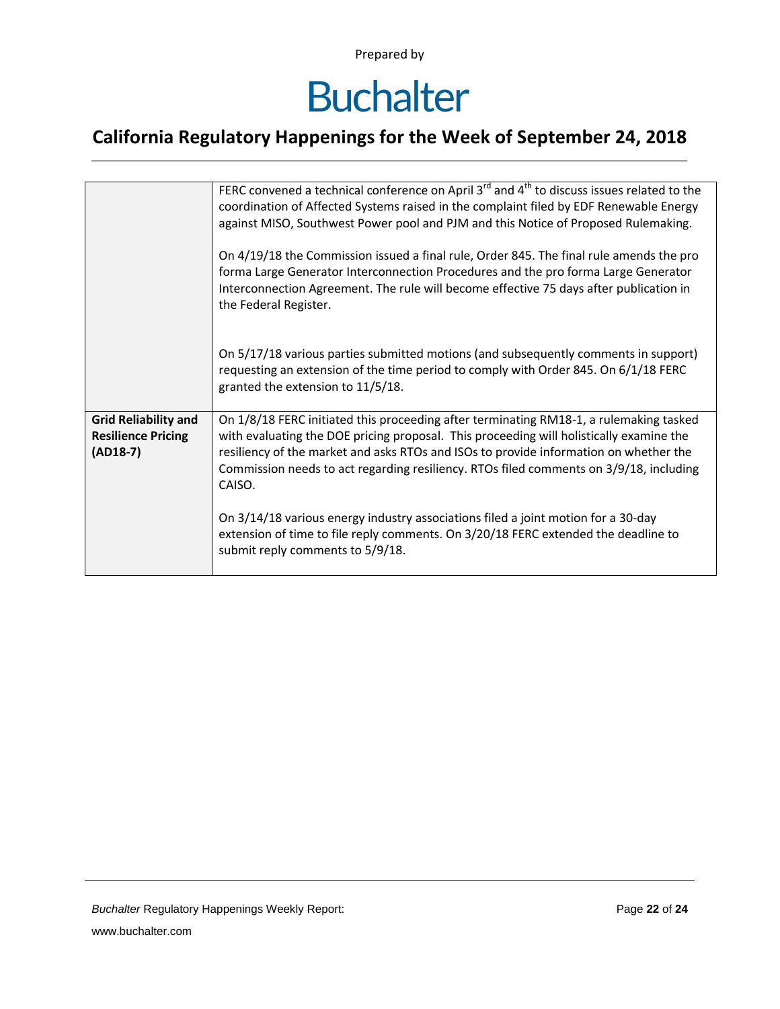### **Buchalter**

|                                                                        | FERC convened a technical conference on April 3 <sup>rd</sup> and 4 <sup>th</sup> to discuss issues related to the<br>coordination of Affected Systems raised in the complaint filed by EDF Renewable Energy<br>against MISO, Southwest Power pool and PJM and this Notice of Proposed Rulemaking.<br>On 4/19/18 the Commission issued a final rule, Order 845. The final rule amends the pro<br>forma Large Generator Interconnection Procedures and the pro forma Large Generator<br>Interconnection Agreement. The rule will become effective 75 days after publication in<br>the Federal Register. |
|------------------------------------------------------------------------|--------------------------------------------------------------------------------------------------------------------------------------------------------------------------------------------------------------------------------------------------------------------------------------------------------------------------------------------------------------------------------------------------------------------------------------------------------------------------------------------------------------------------------------------------------------------------------------------------------|
|                                                                        | On 5/17/18 various parties submitted motions (and subsequently comments in support)<br>requesting an extension of the time period to comply with Order 845. On 6/1/18 FERC<br>granted the extension to 11/5/18.                                                                                                                                                                                                                                                                                                                                                                                        |
| <b>Grid Reliability and</b><br><b>Resilience Pricing</b><br>$(AD18-7)$ | On 1/8/18 FERC initiated this proceeding after terminating RM18-1, a rulemaking tasked<br>with evaluating the DOE pricing proposal. This proceeding will holistically examine the<br>resiliency of the market and asks RTOs and ISOs to provide information on whether the<br>Commission needs to act regarding resiliency. RTOs filed comments on 3/9/18, including<br>CAISO.                                                                                                                                                                                                                         |
|                                                                        | On 3/14/18 various energy industry associations filed a joint motion for a 30-day<br>extension of time to file reply comments. On 3/20/18 FERC extended the deadline to<br>submit reply comments to 5/9/18.                                                                                                                                                                                                                                                                                                                                                                                            |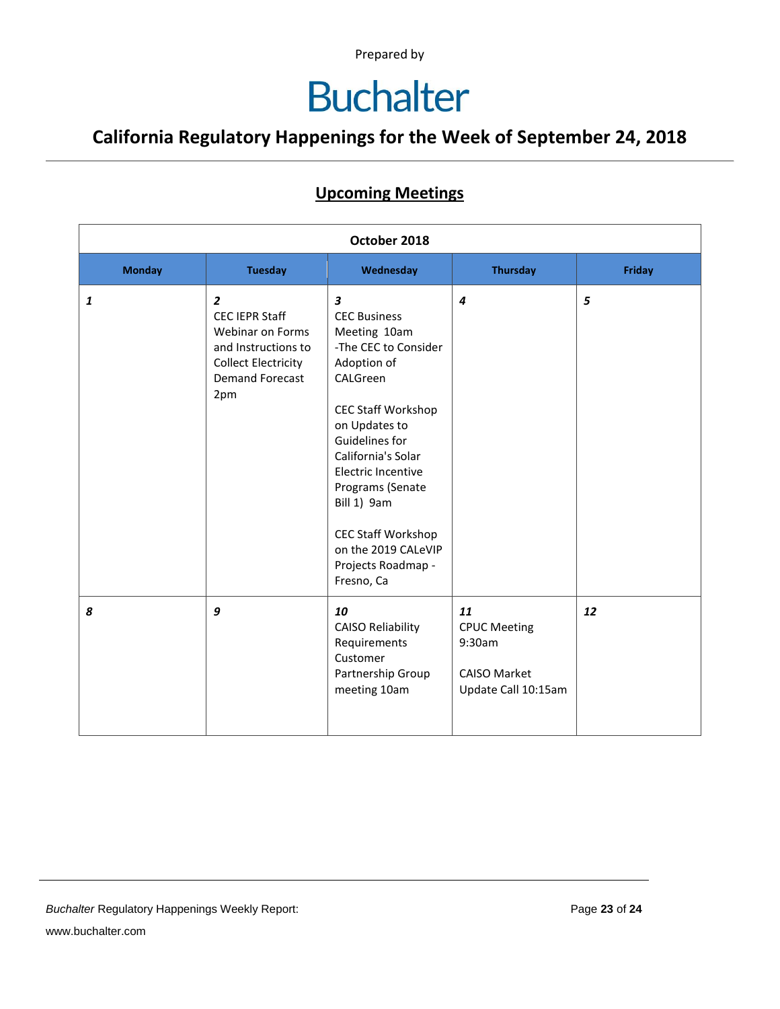### **Buchalter**

### **California Regulatory Happenings for the Week of September 24, 2018**

#### **Upcoming Meetings**

| October 2018  |                                                                                                                                                   |                                                                                                                                                                                                                                                                                                                                    |                                                                                   |               |
|---------------|---------------------------------------------------------------------------------------------------------------------------------------------------|------------------------------------------------------------------------------------------------------------------------------------------------------------------------------------------------------------------------------------------------------------------------------------------------------------------------------------|-----------------------------------------------------------------------------------|---------------|
| <b>Monday</b> | <b>Tuesday</b>                                                                                                                                    | Wednesday                                                                                                                                                                                                                                                                                                                          | <b>Thursday</b>                                                                   | <b>Friday</b> |
| 1             | $\overline{2}$<br><b>CEC IEPR Staff</b><br>Webinar on Forms<br>and Instructions to<br><b>Collect Electricity</b><br><b>Demand Forecast</b><br>2pm | 3<br><b>CEC Business</b><br>Meeting 10am<br>-The CEC to Consider<br>Adoption of<br>CALGreen<br><b>CEC Staff Workshop</b><br>on Updates to<br>Guidelines for<br>California's Solar<br>Electric Incentive<br>Programs (Senate<br>Bill 1) 9am<br><b>CEC Staff Workshop</b><br>on the 2019 CALeVIP<br>Projects Roadmap -<br>Fresno, Ca | $\boldsymbol{4}$                                                                  | 5             |
| 8             | 9                                                                                                                                                 | 10<br><b>CAISO Reliability</b><br>Requirements<br>Customer<br>Partnership Group<br>meeting 10am                                                                                                                                                                                                                                    | 11<br><b>CPUC Meeting</b><br>9:30am<br><b>CAISO Market</b><br>Update Call 10:15am | 12            |